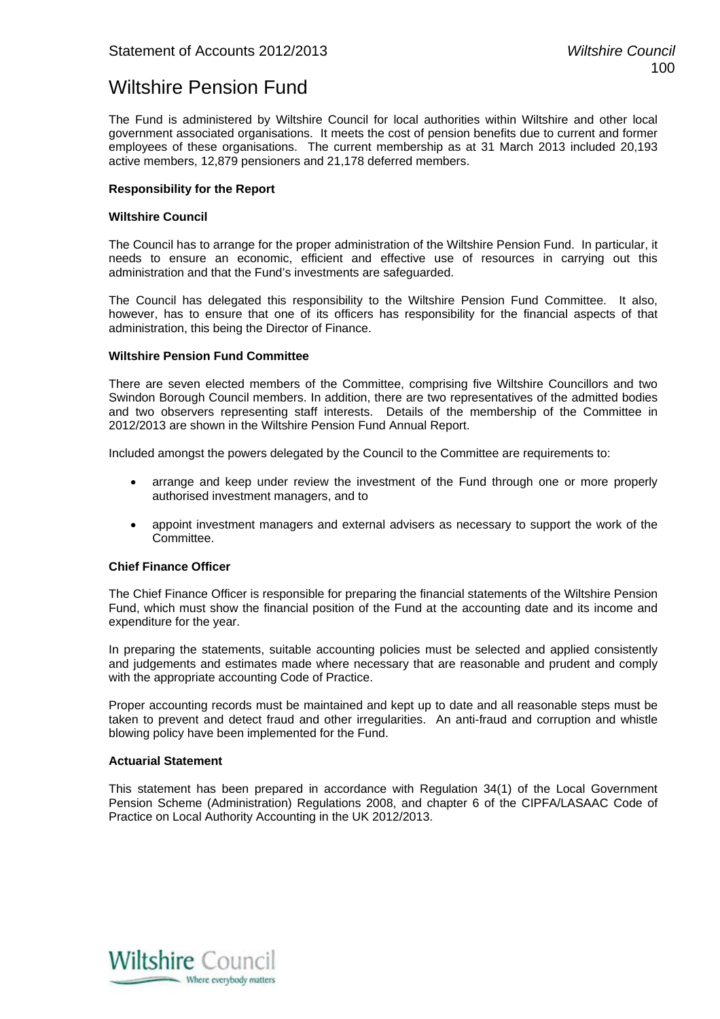# Wiltshire Pension Fund

The Fund is administered by Wiltshire Council for local authorities within Wiltshire and other local government associated organisations. It meets the cost of pension benefits due to current and former employees of these organisations. The current membership as at 31 March 2013 included 20,193 active members, 12,879 pensioners and 21,178 deferred members.

# **Responsibility for the Report**

## **Wiltshire Council**

The Council has to arrange for the proper administration of the Wiltshire Pension Fund. In particular, it needs to ensure an economic, efficient and effective use of resources in carrying out this administration and that the Fund's investments are safeguarded.

The Council has delegated this responsibility to the Wiltshire Pension Fund Committee. It also, however, has to ensure that one of its officers has responsibility for the financial aspects of that administration, this being the Director of Finance.

## **Wiltshire Pension Fund Committee**

There are seven elected members of the Committee, comprising five Wiltshire Councillors and two Swindon Borough Council members. In addition, there are two representatives of the admitted bodies and two observers representing staff interests. Details of the membership of the Committee in 2012/2013 are shown in the Wiltshire Pension Fund Annual Report.

Included amongst the powers delegated by the Council to the Committee are requirements to:

- arrange and keep under review the investment of the Fund through one or more properly authorised investment managers, and to
- appoint investment managers and external advisers as necessary to support the work of the Committee.

## **Chief Finance Officer**

The Chief Finance Officer is responsible for preparing the financial statements of the Wiltshire Pension Fund, which must show the financial position of the Fund at the accounting date and its income and expenditure for the year.

In preparing the statements, suitable accounting policies must be selected and applied consistently and judgements and estimates made where necessary that are reasonable and prudent and comply with the appropriate accounting Code of Practice.

Proper accounting records must be maintained and kept up to date and all reasonable steps must be taken to prevent and detect fraud and other irregularities. An anti-fraud and corruption and whistle blowing policy have been implemented for the Fund.

# **Actuarial Statement**

This statement has been prepared in accordance with Regulation 34(1) of the Local Government Pension Scheme (Administration) Regulations 2008, and chapter 6 of the CIPFA/LASAAC Code of Practice on Local Authority Accounting in the UK 2012/2013.

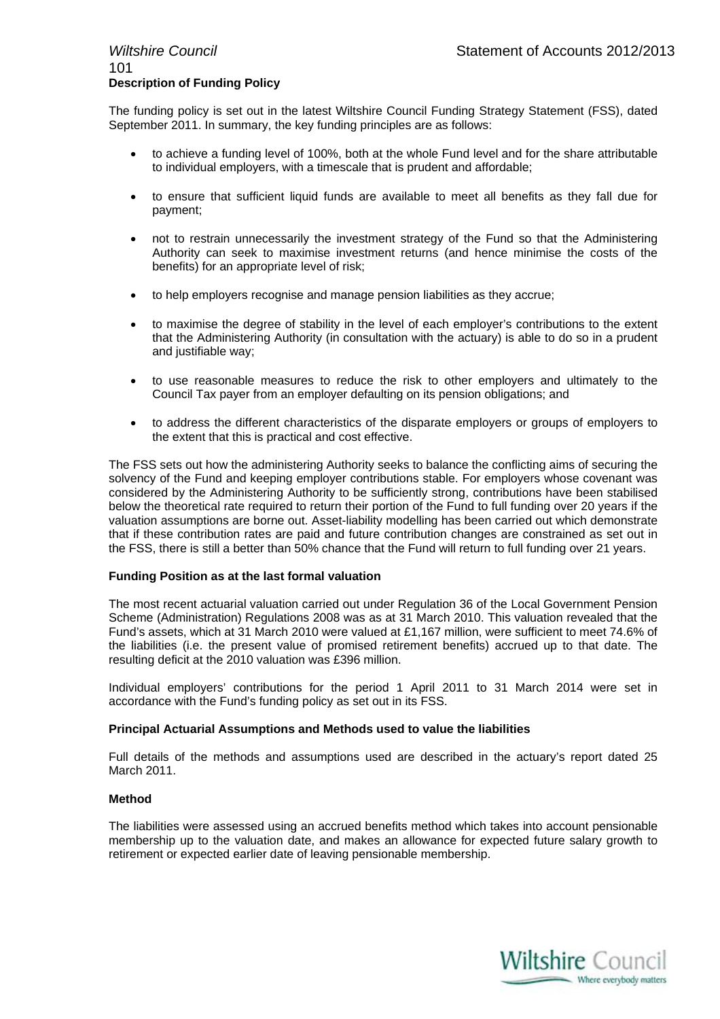# 101 **Description of Funding Policy**

The funding policy is set out in the latest Wiltshire Council Funding Strategy Statement (FSS), dated September 2011. In summary, the key funding principles are as follows:

- to achieve a funding level of 100%, both at the whole Fund level and for the share attributable to individual employers, with a timescale that is prudent and affordable;
- to ensure that sufficient liquid funds are available to meet all benefits as they fall due for payment;
- not to restrain unnecessarily the investment strategy of the Fund so that the Administering Authority can seek to maximise investment returns (and hence minimise the costs of the benefits) for an appropriate level of risk;
- to help employers recognise and manage pension liabilities as they accrue;
- to maximise the degree of stability in the level of each employer's contributions to the extent that the Administering Authority (in consultation with the actuary) is able to do so in a prudent and justifiable way;
- to use reasonable measures to reduce the risk to other employers and ultimately to the Council Tax payer from an employer defaulting on its pension obligations; and
- to address the different characteristics of the disparate employers or groups of employers to the extent that this is practical and cost effective.

The FSS sets out how the administering Authority seeks to balance the conflicting aims of securing the solvency of the Fund and keeping employer contributions stable. For employers whose covenant was considered by the Administering Authority to be sufficiently strong, contributions have been stabilised below the theoretical rate required to return their portion of the Fund to full funding over 20 years if the valuation assumptions are borne out. Asset-liability modelling has been carried out which demonstrate that if these contribution rates are paid and future contribution changes are constrained as set out in the FSS, there is still a better than 50% chance that the Fund will return to full funding over 21 years.

# **Funding Position as at the last formal valuation**

The most recent actuarial valuation carried out under Regulation 36 of the Local Government Pension Scheme (Administration) Regulations 2008 was as at 31 March 2010. This valuation revealed that the Fund's assets, which at 31 March 2010 were valued at £1,167 million, were sufficient to meet 74.6% of the liabilities (i.e. the present value of promised retirement benefits) accrued up to that date. The resulting deficit at the 2010 valuation was £396 million.

Individual employers' contributions for the period 1 April 2011 to 31 March 2014 were set in accordance with the Fund's funding policy as set out in its FSS.

## **Principal Actuarial Assumptions and Methods used to value the liabilities**

Full details of the methods and assumptions used are described in the actuary's report dated 25 March 2011.

## **Method**

The liabilities were assessed using an accrued benefits method which takes into account pensionable membership up to the valuation date, and makes an allowance for expected future salary growth to retirement or expected earlier date of leaving pensionable membership.

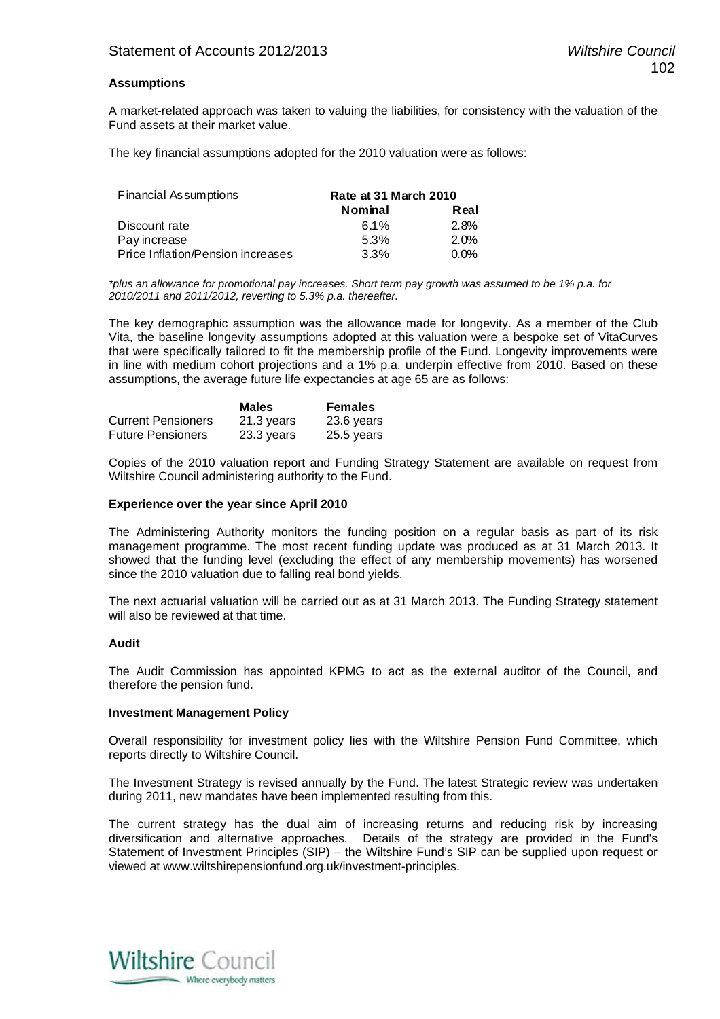# **Assumptions**

A market-related approach was taken to valuing the liabilities, for consistency with the valuation of the Fund assets at their market value.

The key financial assumptions adopted for the 2010 valuation were as follows:

| Financial Assumptions             | Rate at 31 March 2010 |         |
|-----------------------------------|-----------------------|---------|
|                                   | <b>Nominal</b>        | Real    |
| Discount rate                     | 6.1%                  | 2.8%    |
| Pay increase                      | 5.3%                  | $2.0\%$ |
| Price Inflation/Pension increases | 3.3%                  | $0.0\%$ |

*\*plus an allowance for promotional pay increases. Short term pay growth was assumed to be 1% p.a. for 2010/2011 and 2011/2012, reverting to 5.3% p.a. thereafter.*

The key demographic assumption was the allowance made for longevity. As a member of the Club Vita, the baseline longevity assumptions adopted at this valuation were a bespoke set of VitaCurves that were specifically tailored to fit the membership profile of the Fund. Longevity improvements were in line with medium cohort projections and a 1% p.a. underpin effective from 2010. Based on these assumptions, the average future life expectancies at age 65 are as follows:

|                           | <b>Males</b> | <b>Females</b> |
|---------------------------|--------------|----------------|
| <b>Current Pensioners</b> | 21.3 years   | 23.6 years     |
| <b>Future Pensioners</b>  | 23.3 years   | 25.5 years     |

Copies of the 2010 valuation report and Funding Strategy Statement are available on request from Wiltshire Council administering authority to the Fund.

#### **Experience over the year since April 2010**

The Administering Authority monitors the funding position on a regular basis as part of its risk management programme. The most recent funding update was produced as at 31 March 2013. It showed that the funding level (excluding the effect of any membership movements) has worsened since the 2010 valuation due to falling real bond yields.

The next actuarial valuation will be carried out as at 31 March 2013. The Funding Strategy statement will also be reviewed at that time.

#### **Audit**

The Audit Commission has appointed KPMG to act as the external auditor of the Council, and therefore the pension fund.

#### **Investment Management Policy**

Overall responsibility for investment policy lies with the Wiltshire Pension Fund Committee, which reports directly to Wiltshire Council.

The Investment Strategy is revised annually by the Fund. The latest Strategic review was undertaken during 2011, new mandates have been implemented resulting from this.

The current strategy has the dual aim of increasing returns and reducing risk by increasing diversification and alternative approaches. Details of the strategy are provided in the Fund's Statement of Investment Principles (SIP) – the Wiltshire Fund's SIP can be supplied upon request or viewed at www.wiltshirepensionfund.org.uk/investment-principles.

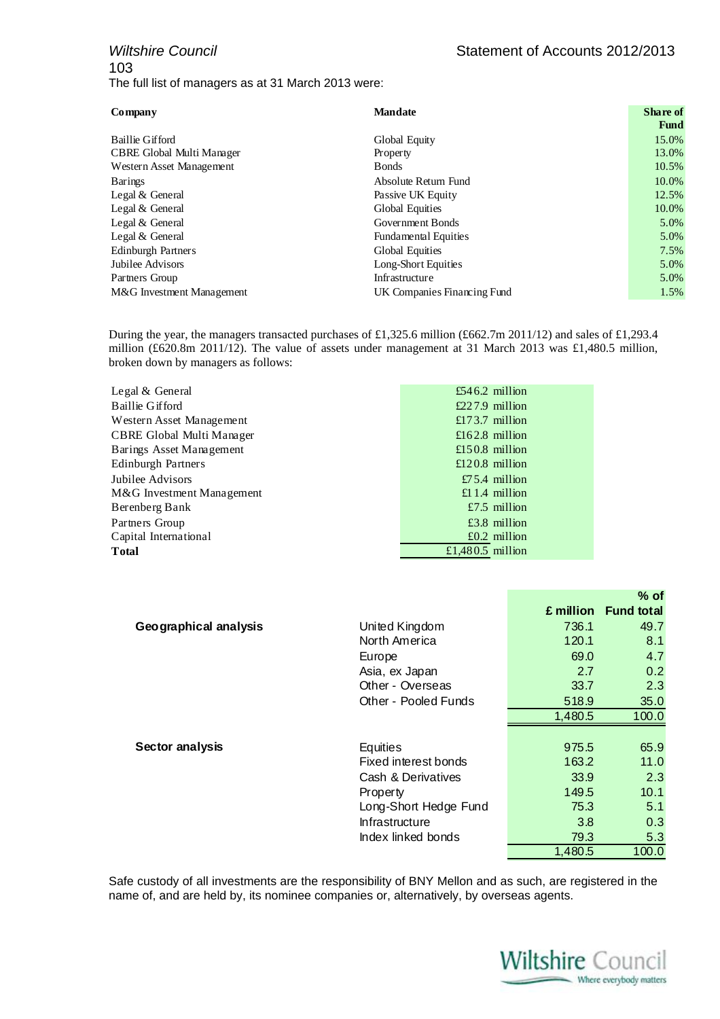# *Wiltshire Council* **Statement of Accounts 2012/2013** 103 The full list of managers as at 31 March 2013 were:

| Company                   | <b>Mandate</b>              | Share of |
|---------------------------|-----------------------------|----------|
|                           |                             | Fund     |
| Baillie Gifford           | Global Equity               | 15.0%    |
| CBRE Global Multi Manager | Property                    | 13.0%    |
| Western Asset Management  | <b>B</b> onds               | 10.5%    |
| <b>Barings</b>            | Absolute Return Fund        | 10.0%    |
| Legal $&$ General         | Passive UK Equity           | 12.5%    |
| Legal $&$ General         | Global Equities             | 10.0%    |
| Legal & General           | Government Bonds            | 5.0%     |
| Legal & General           | <b>Fundamental Equities</b> | 5.0%     |
| <b>Edinburgh Partners</b> | <b>Global Equities</b>      | 7.5%     |
| Jubilee Advisors          | Long-Short Equities         | 5.0%     |
| Partners Group            | Infrastructure              | 5.0%     |
| M&G Investment Management | UK Companies Financing Fund | 1.5%     |

During the year, the managers transacted purchases of £1,325.6 million (£662.7m 2011/12) and sales of £1,293.4 million (£620.8m 2011/12). The value of assets under management at 31 March 2013 was £1,480.5 million, broken down by managers as follows:

| Legal & General           | £546.2 million   |
|---------------------------|------------------|
| Baillie Gifford           | $£227.9$ million |
| Western Asset Management  | £173.7 million   |
| CBRE Global Multi Manager | £162.8 million   |
| Barings Asset Management  | £150.8 million   |
| Edinburgh Partners        | £120.8 million   |
| Jubilee Advisors          | £75.4 million    |
| M&G Investment Management | £1.1.4 million   |
| Berenberg Bank            | £7.5 million     |
| Partners Group            | $£3.8$ million   |
| Capital International     | $£0.2$ million   |
| Total                     | £1,480.5 million |

|                       |                       |         | $%$ of               |
|-----------------------|-----------------------|---------|----------------------|
|                       |                       |         | £ million Fund total |
| Geographical analysis | United Kingdom        | 736.1   | 49.7                 |
|                       | North America         | 120.1   | 8.1                  |
|                       | Europe                | 69.0    | 4.7                  |
|                       | Asia, ex Japan        | 2.7     | 0.2                  |
|                       | Other - Overseas      | 33.7    | 2.3                  |
|                       | Other - Pooled Funds  | 518.9   | 35.0                 |
|                       |                       | 1,480.5 | 100.0                |
|                       |                       |         |                      |
| Sector analysis       | Equities              | 975.5   | 65.9                 |
|                       | Fixed interest bonds  | 163.2   | 11.0                 |
|                       | Cash & Derivatives    | 33.9    | 2.3                  |
|                       | Property              | 149.5   | 10.1                 |
|                       | Long-Short Hedge Fund | 75.3    | 5.1                  |
|                       | Infrastructure        | 3.8     | 0.3                  |
|                       | Index linked bonds    | 79.3    | 5.3                  |
|                       |                       | 1,480.5 | 100.0                |

Safe custody of all investments are the responsibility of BNY Mellon and as such, are registered in the name of, and are held by, its nominee companies or, alternatively, by overseas agents.

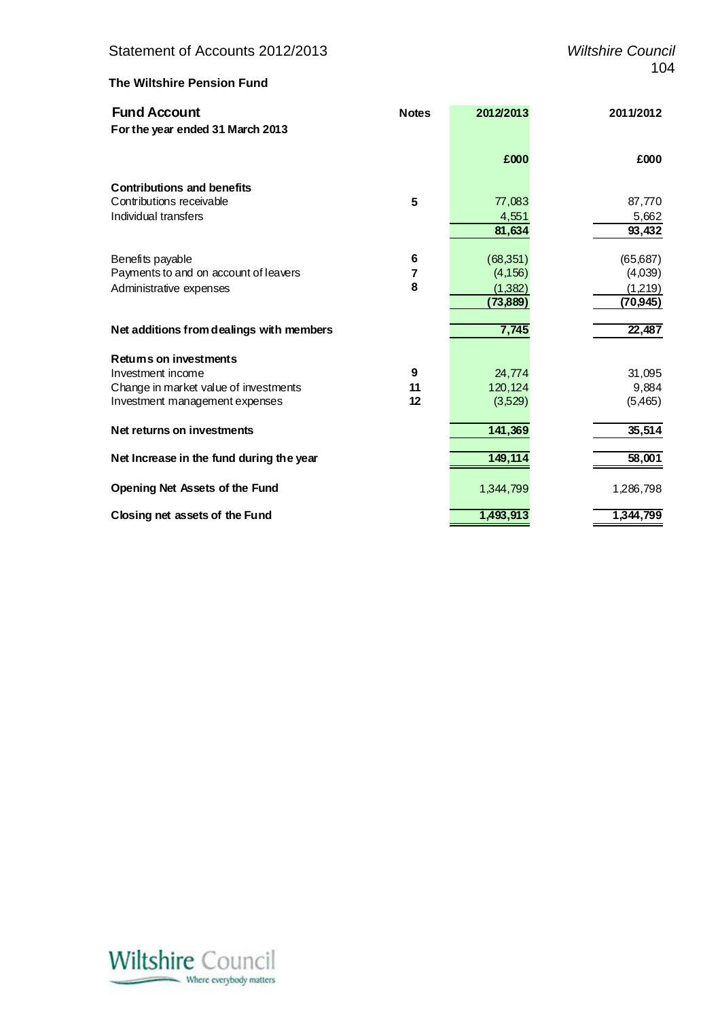# **The Wiltshire Pension Fund**

| <b>Fund Account</b>                      | <b>Notes</b> | 2012/2013 | 2011/2012 |
|------------------------------------------|--------------|-----------|-----------|
| For the year ended 31 March 2013         |              |           |           |
|                                          |              | £000      | £000      |
| <b>Contributions and benefits</b>        |              |           |           |
| Contributions receivable                 | 5            | 77,083    | 87,770    |
| Individual transfers                     |              | 4,551     | 5,662     |
|                                          |              | 81,634    | 93,432    |
| Benefits payable                         | 6            | (68, 351) | (65, 687) |
| Payments to and on account of leavers    | 7            | (4, 156)  | (4,039)   |
| Administrative expenses                  | 8            | (1,382)   | (1,219)   |
|                                          |              | (73, 889) | (70, 945) |
| Net additions from dealings with members |              | 7,745     | 22,487    |
| <b>Retums on investments</b>             |              |           |           |
| Investment income                        | 9            | 24,774    | 31,095    |
| Change in market value of investments    | 11           | 120,124   | 9,884     |
| Investment management expenses           | 12           | (3,529)   | (5,465)   |
| Net returns on investments               |              | 141,369   | 35,514    |
| Net Increase in the fund during the year |              | 149,114   | 58,001    |
| Opening Net Assets of the Fund           |              | 1,344,799 | 1,286,798 |
| Closing net assets of the Fund           |              | 1,493,913 | 1,344,799 |

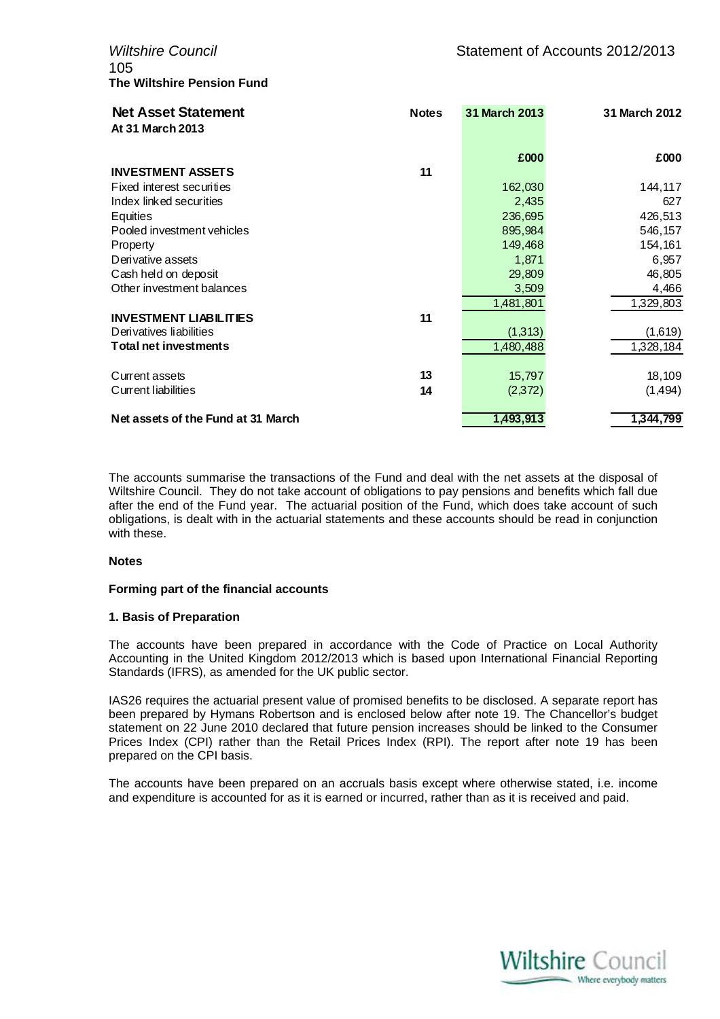105 **The Wiltshire Pension Fund**

| <b>Net Asset Statement</b><br>At 31 March 2013 | <b>Notes</b> | 31 March 2013 | 31 March 2012 |
|------------------------------------------------|--------------|---------------|---------------|
|                                                |              | £000          | £000          |
| <b>INVESTMENT ASSETS</b>                       | 11           |               |               |
| Fixed interest securities                      |              | 162,030       | 144,117       |
| Index linked securities                        |              | 2,435         | 627           |
| Equities                                       |              | 236,695       | 426,513       |
| Pooled investment vehicles                     |              | 895,984       | 546,157       |
| Property                                       |              | 149,468       | 154,161       |
| Derivative assets                              |              | 1,871         | 6,957         |
| Cash held on deposit                           |              | 29,809        | 46,805        |
| Other investment balances                      |              | 3,509         | 4,466         |
|                                                |              | 1,481,801     | 1,329,803     |
| <b>INVESTMENT LIABILITIES</b>                  | 11           |               |               |
| Derivatives liabilities                        |              | (1,313)       | (1,619)       |
| <b>Total net investments</b>                   |              | 1,480,488     | 1,328,184     |
| Current assets                                 | 13           | 15,797        | 18,109        |
| Current liabilities                            | 14           | (2,372)       | (1,494)       |
| Net assets of the Fund at 31 March             |              | 1,493,913     | 1,344,799     |

The accounts summarise the transactions of the Fund and deal with the net assets at the disposal of Wiltshire Council. They do not take account of obligations to pay pensions and benefits which fall due after the end of the Fund year. The actuarial position of the Fund, which does take account of such obligations, is dealt with in the actuarial statements and these accounts should be read in conjunction with these.

## **Notes**

## **Forming part of the financial accounts**

## **1. Basis of Preparation**

The accounts have been prepared in accordance with the Code of Practice on Local Authority Accounting in the United Kingdom 2012/2013 which is based upon International Financial Reporting Standards (IFRS), as amended for the UK public sector.

IAS26 requires the actuarial present value of promised benefits to be disclosed. A separate report has been prepared by Hymans Robertson and is enclosed below after note 19. The Chancellor's budget statement on 22 June 2010 declared that future pension increases should be linked to the Consumer Prices Index (CPI) rather than the Retail Prices Index (RPI). The report after note 19 has been prepared on the CPI basis.

The accounts have been prepared on an accruals basis except where otherwise stated, i.e. income and expenditure is accounted for as it is earned or incurred, rather than as it is received and paid.

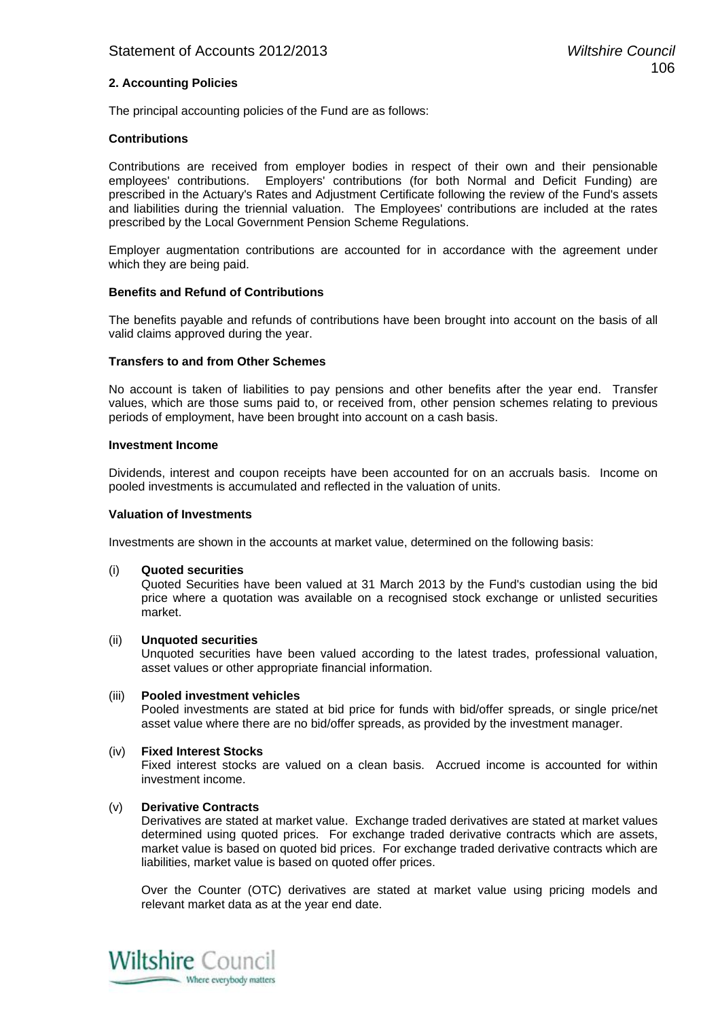# **2. Accounting Policies**

The principal accounting policies of the Fund are as follows:

## **Contributions**

Contributions are received from employer bodies in respect of their own and their pensionable employees' contributions. Employers' contributions (for both Normal and Deficit Funding) are prescribed in the Actuary's Rates and Adjustment Certificate following the review of the Fund's assets and liabilities during the triennial valuation. The Employees' contributions are included at the rates prescribed by the Local Government Pension Scheme Regulations.

Employer augmentation contributions are accounted for in accordance with the agreement under which they are being paid.

#### **Benefits and Refund of Contributions**

The benefits payable and refunds of contributions have been brought into account on the basis of all valid claims approved during the year.

#### **Transfers to and from Other Schemes**

No account is taken of liabilities to pay pensions and other benefits after the year end. Transfer values, which are those sums paid to, or received from, other pension schemes relating to previous periods of employment, have been brought into account on a cash basis.

#### **Investment Income**

Dividends, interest and coupon receipts have been accounted for on an accruals basis. Income on pooled investments is accumulated and reflected in the valuation of units.

#### **Valuation of Investments**

Investments are shown in the accounts at market value, determined on the following basis:

(i) **Quoted securities**

Quoted Securities have been valued at 31 March 2013 by the Fund's custodian using the bid price where a quotation was available on a recognised stock exchange or unlisted securities market.

#### (ii) **Unquoted securities**

 Unquoted securities have been valued according to the latest trades, professional valuation, asset values or other appropriate financial information.

#### (iii) **Pooled investment vehicles**

Pooled investments are stated at bid price for funds with bid/offer spreads, or single price/net asset value where there are no bid/offer spreads, as provided by the investment manager.

#### (iv) **Fixed Interest Stocks**

Fixed interest stocks are valued on a clean basis. Accrued income is accounted for within investment income.

## (v) **Derivative Contracts**

Derivatives are stated at market value. Exchange traded derivatives are stated at market values determined using quoted prices. For exchange traded derivative contracts which are assets, market value is based on quoted bid prices. For exchange traded derivative contracts which are liabilities, market value is based on quoted offer prices.

Over the Counter (OTC) derivatives are stated at market value using pricing models and relevant market data as at the year end date.

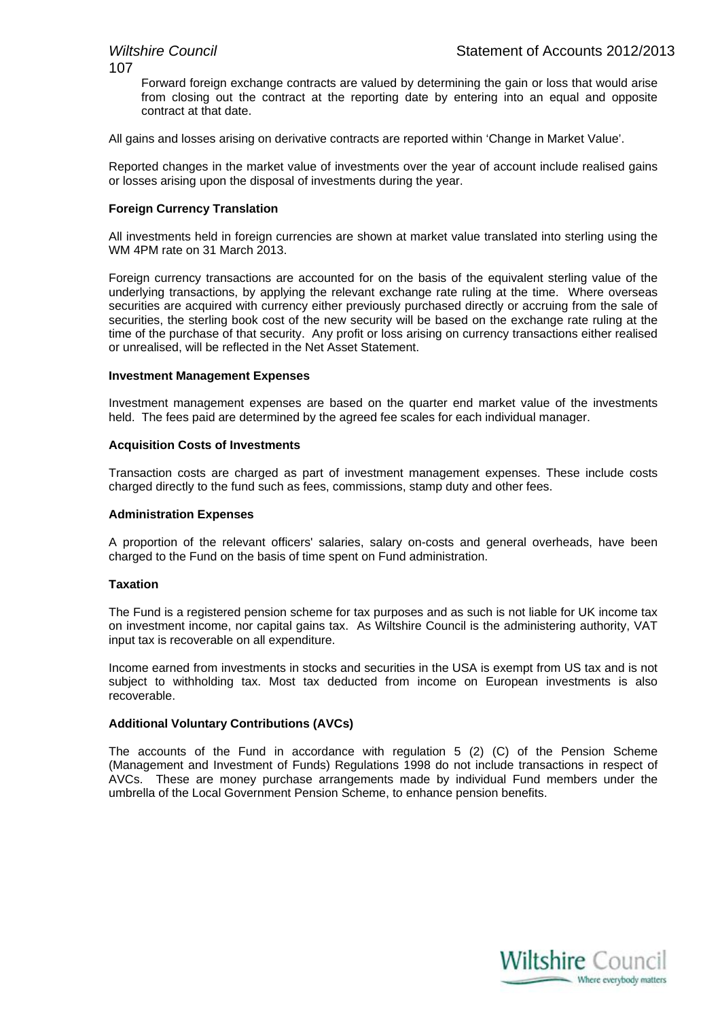107

Forward foreign exchange contracts are valued by determining the gain or loss that would arise from closing out the contract at the reporting date by entering into an equal and opposite contract at that date.

All gains and losses arising on derivative contracts are reported within 'Change in Market Value'.

Reported changes in the market value of investments over the year of account include realised gains or losses arising upon the disposal of investments during the year.

# **Foreign Currency Translation**

All investments held in foreign currencies are shown at market value translated into sterling using the WM 4PM rate on 31 March 2013.

Foreign currency transactions are accounted for on the basis of the equivalent sterling value of the underlying transactions, by applying the relevant exchange rate ruling at the time. Where overseas securities are acquired with currency either previously purchased directly or accruing from the sale of securities, the sterling book cost of the new security will be based on the exchange rate ruling at the time of the purchase of that security. Any profit or loss arising on currency transactions either realised or unrealised, will be reflected in the Net Asset Statement.

# **Investment Management Expenses**

Investment management expenses are based on the quarter end market value of the investments held. The fees paid are determined by the agreed fee scales for each individual manager.

# **Acquisition Costs of Investments**

Transaction costs are charged as part of investment management expenses. These include costs charged directly to the fund such as fees, commissions, stamp duty and other fees.

# **Administration Expenses**

A proportion of the relevant officers' salaries, salary on-costs and general overheads, have been charged to the Fund on the basis of time spent on Fund administration.

# **Taxation**

The Fund is a registered pension scheme for tax purposes and as such is not liable for UK income tax on investment income, nor capital gains tax. As Wiltshire Council is the administering authority, VAT input tax is recoverable on all expenditure.

Income earned from investments in stocks and securities in the USA is exempt from US tax and is not subject to withholding tax. Most tax deducted from income on European investments is also recoverable.

## **Additional Voluntary Contributions (AVCs)**

The accounts of the Fund in accordance with regulation 5 (2) (C) of the Pension Scheme (Management and Investment of Funds) Regulations 1998 do not include transactions in respect of AVCs. These are money purchase arrangements made by individual Fund members under the umbrella of the Local Government Pension Scheme, to enhance pension benefits.

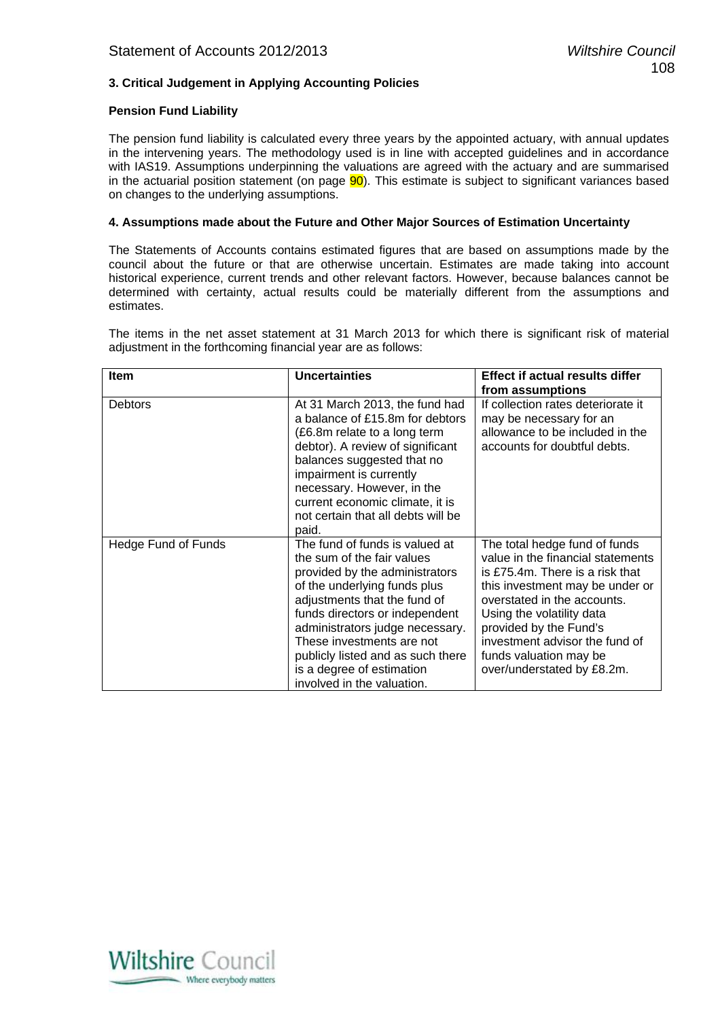# **3. Critical Judgement in Applying Accounting Policies**

# **Pension Fund Liability**

The pension fund liability is calculated every three years by the appointed actuary, with annual updates in the intervening years. The methodology used is in line with accepted guidelines and in accordance with IAS19. Assumptions underpinning the valuations are agreed with the actuary and are summarised in the actuarial position statement (on page  $90$ ). This estimate is subject to significant variances based on changes to the underlying assumptions.

# **4. Assumptions made about the Future and Other Major Sources of Estimation Uncertainty**

The Statements of Accounts contains estimated figures that are based on assumptions made by the council about the future or that are otherwise uncertain. Estimates are made taking into account historical experience, current trends and other relevant factors. However, because balances cannot be determined with certainty, actual results could be materially different from the assumptions and estimates.

The items in the net asset statement at 31 March 2013 for which there is significant risk of material adjustment in the forthcoming financial year are as follows:

| Item                | <b>Uncertainties</b>                                                                                                                                                                                                                                                                                                                                             | <b>Effect if actual results differ</b>                                                                                                                                                                                                                                                                                   |
|---------------------|------------------------------------------------------------------------------------------------------------------------------------------------------------------------------------------------------------------------------------------------------------------------------------------------------------------------------------------------------------------|--------------------------------------------------------------------------------------------------------------------------------------------------------------------------------------------------------------------------------------------------------------------------------------------------------------------------|
|                     |                                                                                                                                                                                                                                                                                                                                                                  | from assumptions                                                                                                                                                                                                                                                                                                         |
| <b>Debtors</b>      | At 31 March 2013, the fund had<br>a balance of £15.8m for debtors<br>(£6.8m relate to a long term<br>debtor). A review of significant<br>balances suggested that no<br>impairment is currently<br>necessary. However, in the<br>current economic climate, it is<br>not certain that all debts will be<br>paid.                                                   | If collection rates deteriorate it<br>may be necessary for an<br>allowance to be included in the<br>accounts for doubtful debts.                                                                                                                                                                                         |
| Hedge Fund of Funds | The fund of funds is valued at<br>the sum of the fair values<br>provided by the administrators<br>of the underlying funds plus<br>adjustments that the fund of<br>funds directors or independent<br>administrators judge necessary.<br>These investments are not<br>publicly listed and as such there<br>is a degree of estimation<br>involved in the valuation. | The total hedge fund of funds<br>value in the financial statements<br>is £75.4m. There is a risk that<br>this investment may be under or<br>overstated in the accounts.<br>Using the volatility data<br>provided by the Fund's<br>investment advisor the fund of<br>funds valuation may be<br>over/understated by £8.2m. |

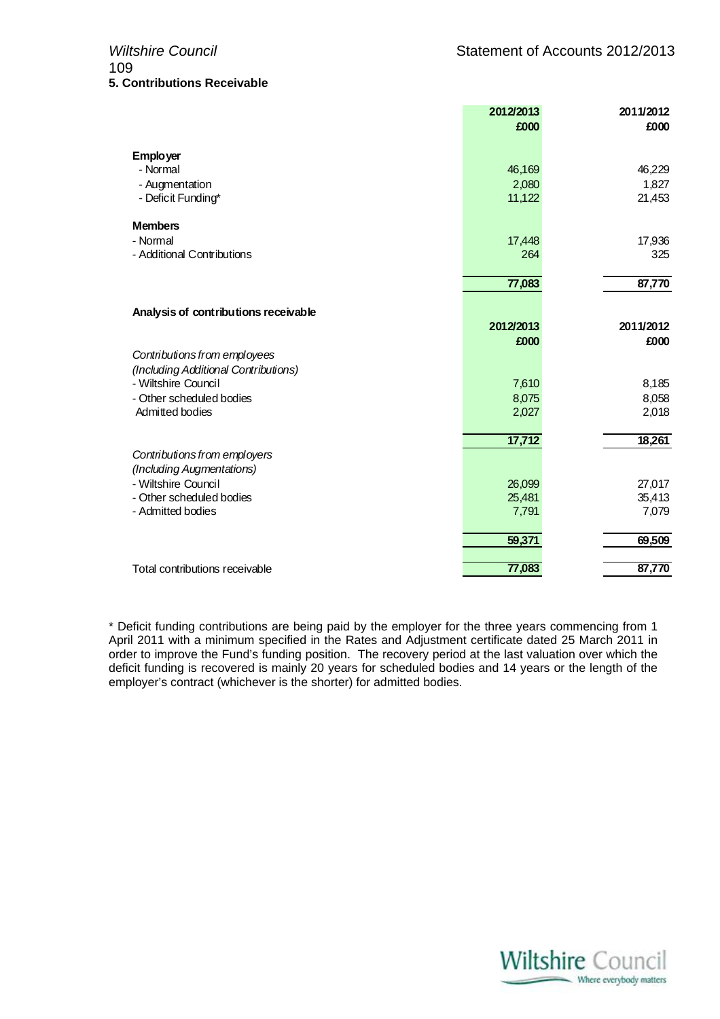|                                                  | 2012/2013         | 2011/2012         |
|--------------------------------------------------|-------------------|-------------------|
|                                                  | £000              | £000              |
| <b>Employer</b>                                  |                   |                   |
| - Normal                                         | 46,169            | 46,229            |
| - Augmentation                                   | 2,080             | 1,827             |
| - Deficit Funding*                               | 11,122            | 21,453            |
| <b>Members</b>                                   |                   |                   |
| - Normal                                         | 17,448            | 17,936            |
| - Additional Contributions                       | 264               | 325               |
|                                                  | 77,083            | 87,770            |
|                                                  |                   |                   |
| Analysis of contributions receivable             |                   |                   |
|                                                  | 2012/2013<br>£000 | 2011/2012<br>£000 |
| Contributions from employees                     |                   |                   |
| (Including Additional Contributions)             |                   |                   |
| - Wiltshire Council                              | 7,610             | 8,185             |
| - Other scheduled bodies                         | 8,075             | 8,058             |
| Admitted bodies                                  | 2,027             | 2,018             |
|                                                  | 17,712            | 18,261            |
| Contributions from employers                     |                   |                   |
| (Including Augmentations)<br>- Wiltshire Council |                   |                   |
| - Other scheduled bodies                         | 26,099<br>25,481  | 27,017<br>35,413  |
| - Admitted bodies                                | 7,791             | 7,079             |
|                                                  |                   |                   |
|                                                  | 59,371            | 69,509            |
| Total contributions receivable                   | 77,083            | 87,770            |

\* Deficit funding contributions are being paid by the employer for the three years commencing from 1 April 2011 with a minimum specified in the Rates and Adjustment certificate dated 25 March 2011 in order to improve the Fund's funding position. The recovery period at the last valuation over which the deficit funding is recovered is mainly 20 years for scheduled bodies and 14 years or the length of the employer's contract (whichever is the shorter) for admitted bodies.

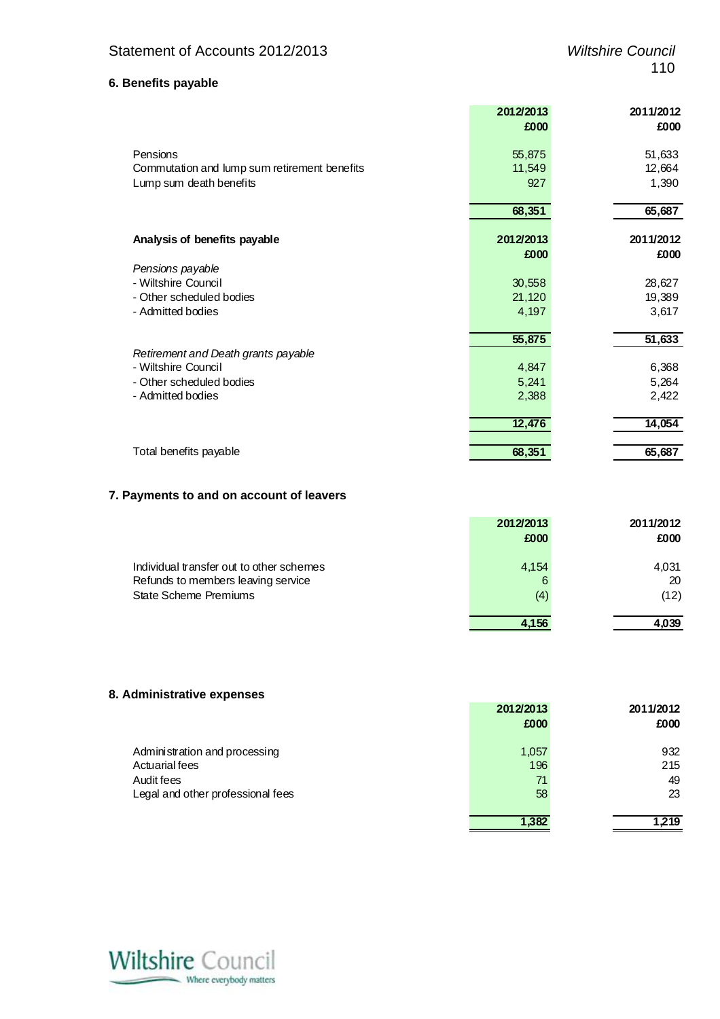# **6. Benefits payable**

|                                              | 2012/2013 | 2011/2012 |
|----------------------------------------------|-----------|-----------|
|                                              | £000      | £000      |
| Pensions                                     | 55,875    | 51,633    |
| Commutation and lump sum retirement benefits | 11,549    | 12,664    |
| Lump sum death benefits                      | 927       | 1,390     |
|                                              | 68,351    | 65,687    |
| Analysis of benefits payable                 | 2012/2013 | 2011/2012 |
|                                              | £000      | £000      |
| Pensions payable                             |           |           |
| - Wiltshire Council                          | 30,558    | 28,627    |
| - Other scheduled bodies                     | 21,120    | 19,389    |
| - Admitted bodies                            | 4,197     | 3,617     |
|                                              | 55,875    | 51,633    |
| Retirement and Death grants payable          |           |           |
| - Wiltshire Council                          | 4,847     | 6,368     |
| - Other scheduled bodies                     | 5,241     | 5,264     |
| - Admitted bodies                            | 2,388     | 2,422     |
|                                              | 12,476    | 14,054    |
|                                              |           |           |
| Total benefits payable                       | 68,351    | 65,687    |

# **7. Payments to and on account of leavers**

|                                          | 2012/2013<br>£000 | 2011/2012<br>£000 |
|------------------------------------------|-------------------|-------------------|
| Individual transfer out to other schemes | 4,154             | 4,031             |
| Refunds to members leaving service       | 6                 | 20                |
| <b>State Scheme Premiums</b>             | (4)               | (12)              |
|                                          |                   | 4.039             |

# **8. Administrative expenses**

|                                                                                                    | 2012/2013<br>£000        | 2011/2012<br>£000      |
|----------------------------------------------------------------------------------------------------|--------------------------|------------------------|
| Administration and processing<br>Actuarial fees<br>Audit fees<br>Legal and other professional fees | 1,057<br>196<br>71<br>58 | 932<br>215<br>49<br>23 |
|                                                                                                    | 1,382                    | 1,219                  |

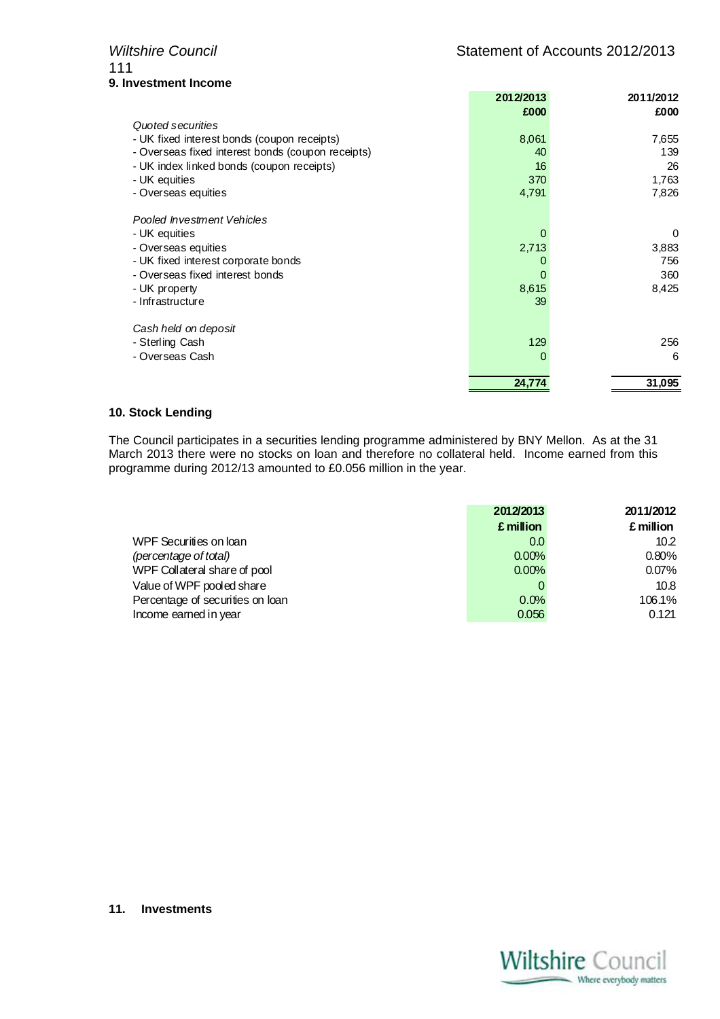# 111 **9. Investment Income**

|                                                   | 2012/2013<br>£000 | 2011/2012<br>£000 |
|---------------------------------------------------|-------------------|-------------------|
| Quoted securities                                 |                   |                   |
| - UK fixed interest bonds (coupon receipts)       | 8,061             | 7,655             |
| - Overseas fixed interest bonds (coupon receipts) | 40                | 139               |
| - UK index linked bonds (coupon receipts)         | 16                | 26                |
| - UK equities                                     | 370               | 1,763             |
| - Overseas equities                               | 4,791             | 7,826             |
| Pooled Investment Vehicles                        |                   |                   |
| - UK equities                                     | 0                 | 0                 |
| - Overseas equities                               | 2,713             | 3,883             |
| - UK fixed interest corporate bonds               | 0                 | 756               |
| - Overseas fixed interest bonds                   | 0                 | 360               |
| - UK property                                     | 8,615             | 8,425             |
| - Infrastructure                                  | 39                |                   |
| Cash held on deposit                              |                   |                   |
| - Sterling Cash                                   | 129               | 256               |
| - Overseas Cash                                   | 0                 | 6                 |
|                                                   | 24.774            | 31,095            |

# **10. Stock Lending**

The Council participates in a securities lending programme administered by BNY Mellon. As at the 31 March 2013 there were no stocks on loan and therefore no collateral held. Income earned from this programme during 2012/13 amounted to £0.056 million in the year.

|                                  | 2012/2013 | 2011/2012 |
|----------------------------------|-----------|-----------|
|                                  | £ million | £ million |
| WPF Securities on loan           | 0.0       | 10.2      |
| (percentage of total)            | 0.00%     | 0.80%     |
| WPF Collateral share of pool     | 0.00%     | 0.07%     |
| Value of WPF pooled share        |           | 10.8      |
| Percentage of securities on loan | 0.0%      | 106.1%    |
| Income earned in year            | 0.056     | 0.121     |

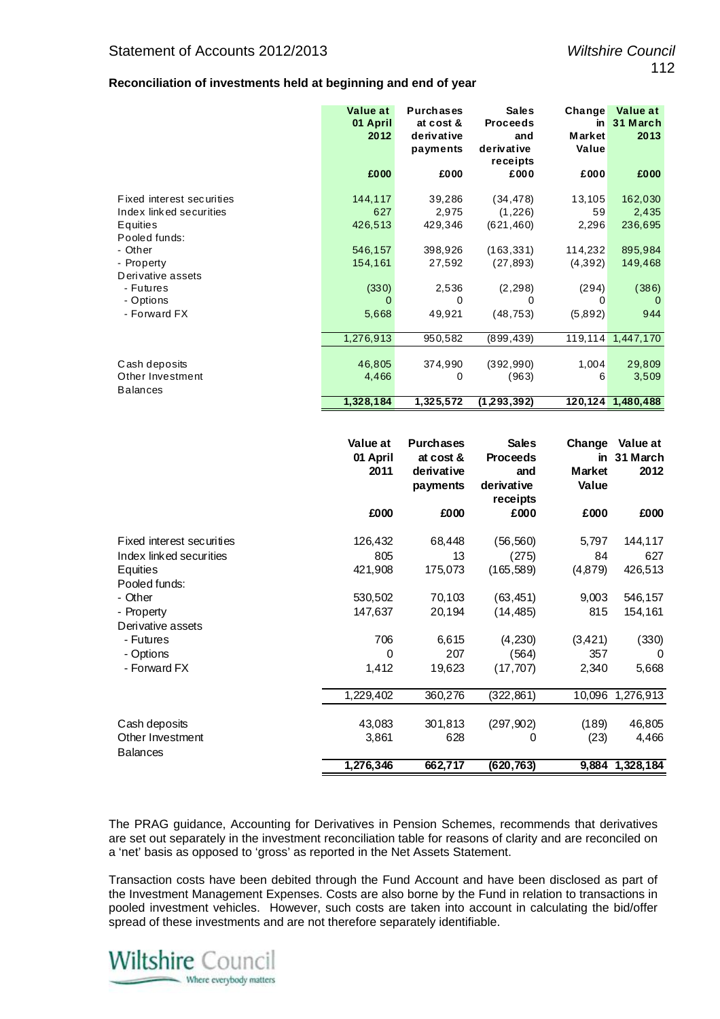# **Reconciliation of investments held at beginning and end of year**

|                                     | Value at<br>01 April<br>2012 | <b>Purchases</b><br>at cost &<br>derivative<br>payments | <b>Sales</b><br><b>Proceeds</b><br>and<br>derivative<br>receipts | Change<br>in<br><b>Market</b><br>Value | <b>Value at</b><br>31 March<br>2013 |
|-------------------------------------|------------------------------|---------------------------------------------------------|------------------------------------------------------------------|----------------------------------------|-------------------------------------|
|                                     | £000                         | £000                                                    | £000                                                             | £000                                   | £000                                |
| Fixed interest securities           | 144,117                      | 39,286                                                  | (34, 478)                                                        | 13,105                                 | 162,030                             |
| Index linked securities<br>Equities | 627<br>426,513               | 2,975<br>429,346                                        | (1, 226)<br>(621, 460)                                           | 59<br>2,296                            | 2,435<br>236,695                    |
| Pooled funds:                       |                              |                                                         |                                                                  |                                        |                                     |
| - Other                             | 546,157                      | 398,926                                                 | (163, 331)                                                       | 114,232                                | 895,984                             |
| - Property                          | 154,161                      | 27,592                                                  | (27, 893)                                                        | (4,392)                                | 149,468                             |
| Derivative assets                   |                              |                                                         |                                                                  |                                        |                                     |
| - Futures<br>- Options              | (330)<br>0                   | 2,536<br>$\Omega$                                       | (2, 298)<br>0                                                    | (294)<br>0                             | (386)<br>0                          |
| - Forward FX                        | 5,668                        | 49,921                                                  | (48, 753)                                                        | (5,892)                                | 944                                 |
|                                     |                              |                                                         |                                                                  |                                        |                                     |
|                                     | 1,276,913                    | 950,582                                                 | (899, 439)                                                       | 119,114                                | 1,447,170                           |
|                                     |                              |                                                         |                                                                  |                                        |                                     |
| Cash deposits                       | 46,805                       | 374,990                                                 | (392, 990)                                                       | 1,004                                  | 29,809                              |
| Other Investment                    | 4,466                        | 0                                                       | (963)                                                            | 6                                      | 3,509                               |
| <b>Balances</b>                     |                              |                                                         |                                                                  |                                        |                                     |
|                                     | 1,328,184                    | 1,325,572                                               | (1, 293, 392)                                                    |                                        | 120,124 1,480,488                   |

|                           | Value at<br>01 April<br>2011 | <b>Purchases</b><br>at cost &<br>derivative<br>payments | <b>Sales</b><br><b>Proceeds</b><br>and<br>derivative<br>receipts | Change<br>in<br><b>Market</b><br>Value | Value at<br>31 March<br>2012 |
|---------------------------|------------------------------|---------------------------------------------------------|------------------------------------------------------------------|----------------------------------------|------------------------------|
|                           | £000                         | £000                                                    | £000                                                             | £000                                   | £000                         |
| Fixed interest securities | 126,432                      | 68,448                                                  | (56, 560)                                                        | 5,797                                  | 144,117                      |
| Index linked securities   | 805                          | 13                                                      | (275)                                                            | 84                                     | 627                          |
| Equities                  | 421,908                      | 175,073                                                 | (165, 589)                                                       | (4, 879)                               | 426,513                      |
| Pooled funds:             |                              |                                                         |                                                                  |                                        |                              |
| - Other                   | 530,502                      | 70,103                                                  | (63, 451)                                                        | 9,003                                  | 546,157                      |
| - Property                | 147,637                      | 20,194                                                  | (14, 485)                                                        | 815                                    | 154,161                      |
| Derivative assets         |                              |                                                         |                                                                  |                                        |                              |
| - Futures                 | 706                          | 6,615                                                   | (4,230)                                                          | (3,421)                                | (330)                        |
| - Options                 | 0                            | 207                                                     | (564)                                                            | 357                                    | 0                            |
| - Forward FX              | 1,412                        | 19,623                                                  | (17, 707)                                                        | 2,340                                  | 5,668                        |
|                           | 1,229,402                    | 360,276                                                 | (322, 861)                                                       | 10,096                                 | 1,276,913                    |
| Cash deposits             | 43,083                       | 301,813                                                 | (297, 902)                                                       | (189)                                  | 46,805                       |
| Other Investment          | 3,861                        | 628                                                     | 0                                                                | (23)                                   | 4,466                        |
| <b>Balances</b>           |                              |                                                         |                                                                  |                                        |                              |
|                           | 1,276,346                    | 662,717                                                 | (620, 763)                                                       |                                        | 9,884 1,328,184              |

The PRAG guidance, Accounting for Derivatives in Pension Schemes, recommends that derivatives are set out separately in the investment reconciliation table for reasons of clarity and are reconciled on a 'net' basis as opposed to 'gross' as reported in the Net Assets Statement.

Transaction costs have been debited through the Fund Account and have been disclosed as part of the Investment Management Expenses. Costs are also borne by the Fund in relation to transactions in pooled investment vehicles. However, such costs are taken into account in calculating the bid/offer spread of these investments and are not therefore separately identifiable.

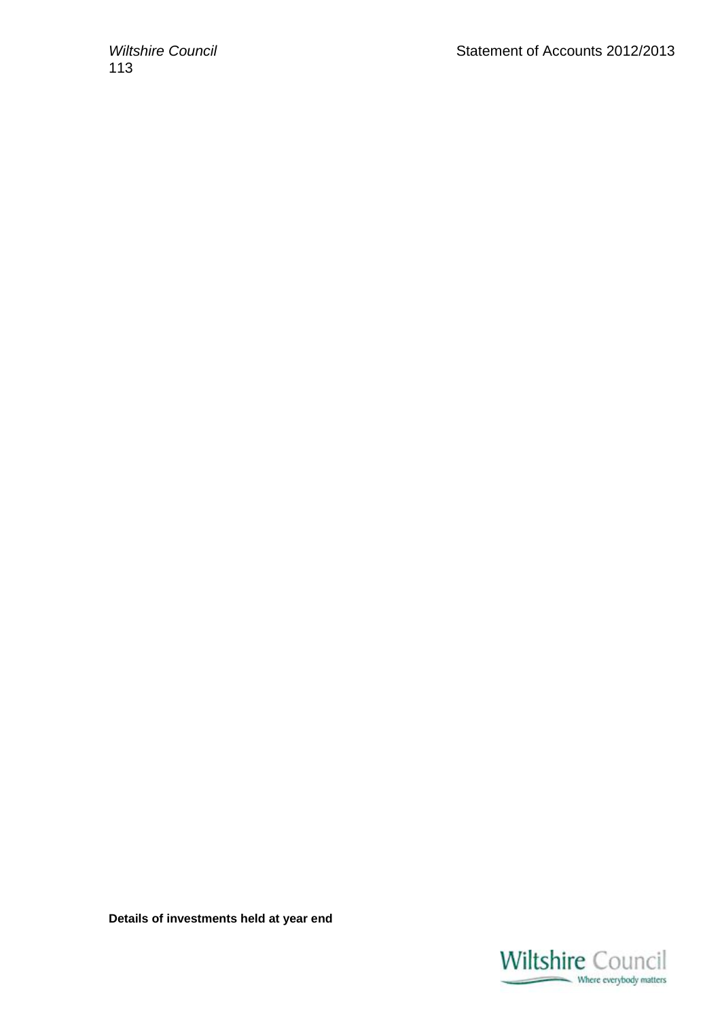113

**Details of investments held at year end** 

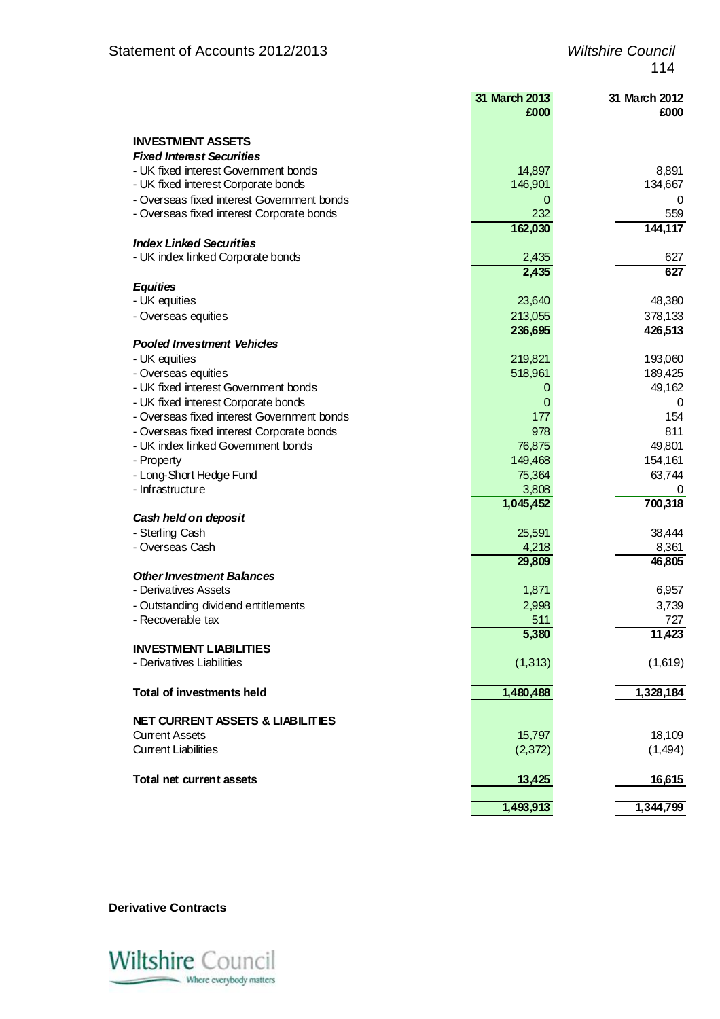|                                             | 31 March 2013<br>£000 | 31 March 2012<br>£000 |
|---------------------------------------------|-----------------------|-----------------------|
| <b>INVESTMENT ASSETS</b>                    |                       |                       |
| <b>Fixed Interest Securities</b>            |                       |                       |
| - UK fixed interest Government bonds        | 14,897                | 8,891                 |
| - UK fixed interest Corporate bonds         | 146,901               | 134,667               |
| - Overseas fixed interest Government bonds  | 0                     | O                     |
| - Overseas fixed interest Corporate bonds   | 232                   | 559                   |
|                                             | 162,030               | 144,117               |
| <b>Index Linked Securities</b>              |                       |                       |
| - UK index linked Corporate bonds           | 2,435                 | 627                   |
|                                             | 2,435                 | 627                   |
| <b>Equities</b>                             |                       |                       |
| - UK equities                               | 23,640                | 48,380                |
| - Overseas equities                         | 213,055               | 378,133               |
|                                             | 236,695               | 426,513               |
| <b>Pooled Investment Vehicles</b>           |                       |                       |
| - UK equities                               | 219,821               | 193,060               |
| - Overseas equities                         | 518,961               | 189,425               |
| - UK fixed interest Government bonds        | O                     | 49,162                |
| - UK fixed interest Corporate bonds         | 0                     | 0                     |
| - Overseas fixed interest Government bonds  | 177                   | 154                   |
| - Overseas fixed interest Corporate bonds   | 978                   | 811                   |
| - UK index linked Government bonds          | 76,875                | 49,801                |
| - Property                                  | 149,468               | 154,161               |
| - Long-Short Hedge Fund                     | 75,364                | 63,744                |
| - Infrastructure                            | 3,808                 |                       |
|                                             | 1,045,452             | 700,318               |
| Cash held on deposit                        |                       |                       |
| - Sterling Cash                             | 25,591                | 38,444                |
| - Overseas Cash                             | 4,218                 | 8,361                 |
|                                             | 29,809                | 46,805                |
| <b>Other Investment Balances</b>            |                       |                       |
| - Derivatives Assets                        | 1,871                 | 6,957                 |
| - Outstanding dividend entitlements         | 2,998                 | 3,739                 |
| - Recoverable tax                           | 511                   | 727                   |
|                                             | 5,380                 | 11,423                |
| <b>INVESTMENT LIABILITIES</b>               |                       |                       |
| - Derivatives Liabilities                   | (1, 313)              | (1,619)               |
| Total of investments held                   | 1,480,488             | 1,328,184             |
|                                             |                       |                       |
| <b>NET CURRENT ASSETS &amp; LIABILITIES</b> |                       |                       |
| <b>Current Assets</b>                       | 15,797                | 18,109                |
| <b>Current Liabilities</b>                  | (2, 372)              | (1, 494)              |
|                                             |                       |                       |
| Total net current assets                    | 13,425                | 16,615                |
|                                             |                       |                       |
|                                             | 1,493,913             | 1,344,799             |

**Derivative Contracts** 

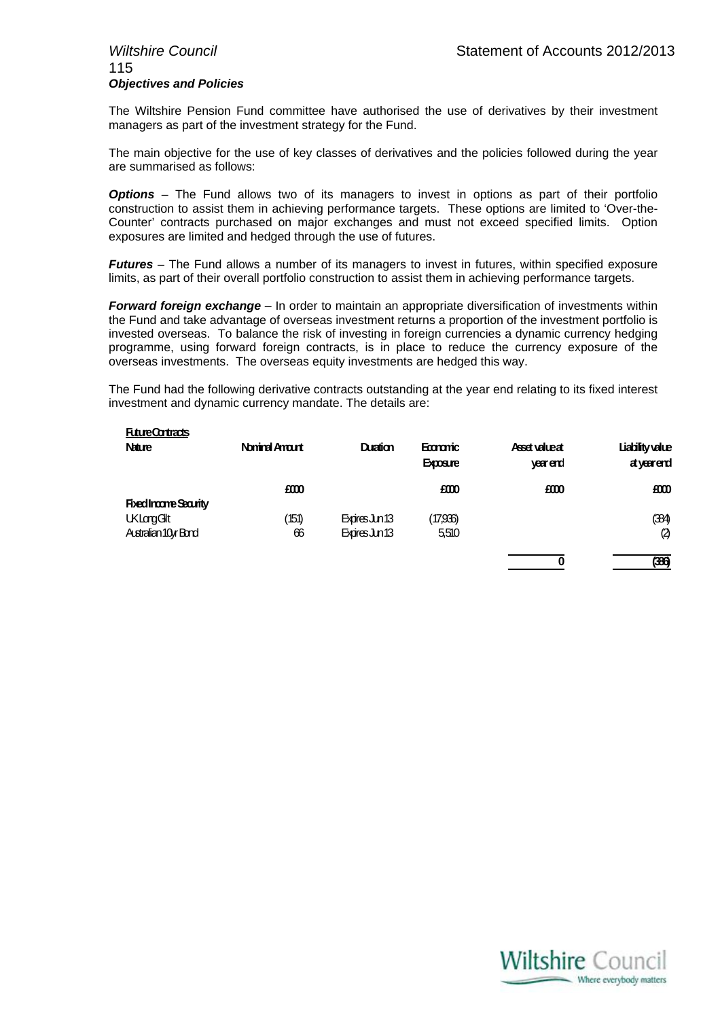# 115 *Objectives and Policies*

The Wiltshire Pension Fund committee have authorised the use of derivatives by their investment managers as part of the investment strategy for the Fund.

The main objective for the use of key classes of derivatives and the policies followed during the year are summarised as follows:

**Options** – The Fund allows two of its managers to invest in options as part of their portfolio construction to assist them in achieving performance targets. These options are limited to 'Over-the-Counter' contracts purchased on major exchanges and must not exceed specified limits. Option exposures are limited and hedged through the use of futures.

*Futures* – The Fund allows a number of its managers to invest in futures, within specified exposure limits, as part of their overall portfolio construction to assist them in achieving performance targets.

*Forward foreign exchange* – In order to maintain an appropriate diversification of investments within the Fund and take advantage of overseas investment returns a proportion of the investment portfolio is invested overseas. To balance the risk of investing in foreign currencies a dynamic currency hedging programme, using forward foreign contracts, is in place to reduce the currency exposure of the overseas investments. The overseas equity investments are hedged this way.

The Fund had the following derivative contracts outstanding at the year end relating to its fixed interest investment and dynamic currency mandate. The details are:

| <b>FutureContracts</b>        |                      |                |                             |                           |                              |
|-------------------------------|----------------------|----------------|-----------------------------|---------------------------|------------------------------|
| <b>Nature</b>                 | <b>Noninal Amart</b> | Duration       | Economic<br><b>Exposure</b> | Asset value at<br>veerend | Liability value<br>atyearend |
|                               | £000                 |                | £000                        | £000                      | £000                         |
| <b>Fixed Incorre Security</b> |                      |                |                             |                           |                              |
| <b>UKLargGlt</b>              | 151)                 | Expires Jun 13 | (17,936)                    |                           | (384)                        |
| Australian 10yr Bond          | 66                   | Expires Jun 13 | 5,510                       |                           | $\boldsymbol{\varnothing}$   |
|                               |                      |                |                             | 0                         | (386)                        |

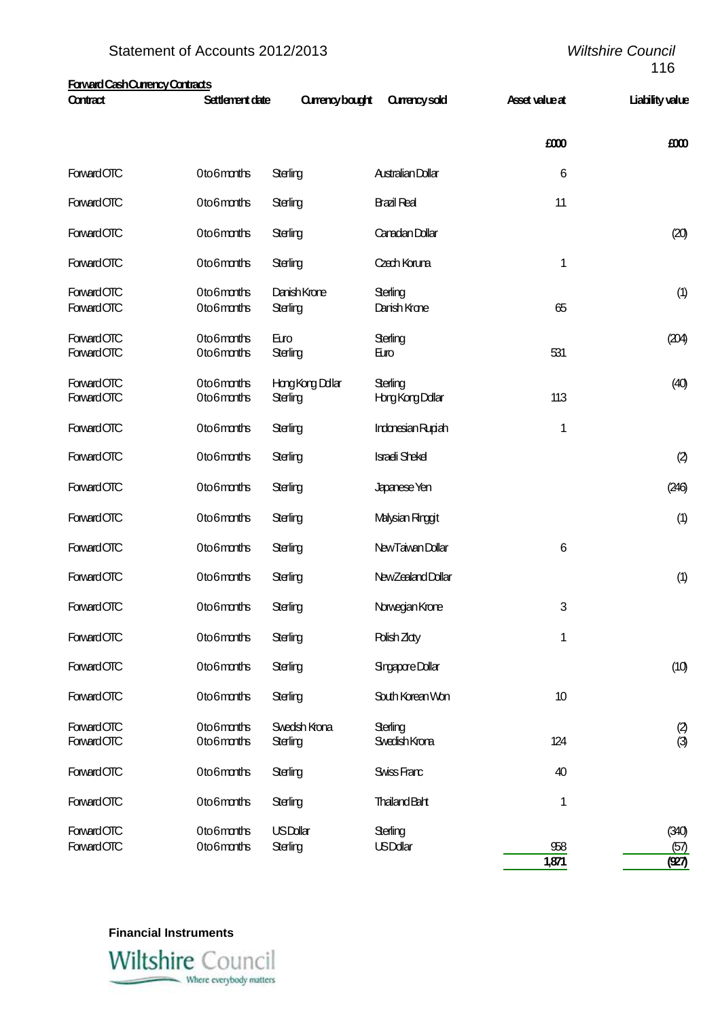| <b>Forward Cash Currency Contracts</b><br>Contract | Settlement date | <b>Qurency bought</b> | <b>Currency sold</b>     | Asset value at | Liability value |
|----------------------------------------------------|-----------------|-----------------------|--------------------------|----------------|-----------------|
|                                                    |                 |                       |                          |                |                 |
|                                                    |                 |                       |                          | £000           | £000            |
| <b>Forward OTC</b>                                 | Oto6months      | Sterling              | <b>Australian Dollar</b> | $\,6$          |                 |
| Forward OTC                                        | Oto6months      | Sterling              | <b>Bazil Real</b>        | 11             |                 |
| Forward OTC                                        | Oto6months      | Sterling              | Canadan Dollar           |                | (20)            |
| Forward OTC                                        | Oto6months      | Sterling              | Czech Koruna             | 1              |                 |
| Forward OTC                                        | Oto6months      | Danish Krone          | Sterling                 |                | (1)             |
| <b>Forward OTC</b>                                 | Oto6months      | Sterling              | Darish Krone             | 65             |                 |
|                                                    |                 |                       |                          |                |                 |
| <b>Forward OTC</b>                                 | 0to6mmths       | Euro                  | Sterling                 |                | (204)           |
| Forward OTC                                        | Oto6months      | Sterling              | Euro                     | 531            |                 |
| <b>Forward OTC</b>                                 | Oto6months      | Hong Kong Dollar      | Sterling                 |                | (40)            |
| Forward OTC                                        | Oto6months      | Sterling              | <b>Horg Kong Dollar</b>  | 113            |                 |
| Forward OTC                                        | Oto6months      | Sterling              | Indonesian Rupiah        | 1              |                 |
|                                                    |                 |                       |                          |                |                 |
| Forward OTC                                        | Oto6months      | Sterling              | <b>Isradi Shekel</b>     |                | (2)             |
| Forward OTC                                        | Oto6months      | Sterling              | Japanese Yen             |                | (246)           |
| <b>Forward OTC</b>                                 | Oto6months      | Sterling              | Malysian Ringgit         |                | (1)             |
| Forward OTC                                        | Oto6months      | Sterling              | New Taiwan Dollar        | 6              |                 |
| Forward OTC                                        | Oto6months      | Sterling              | New Zealand Dollar       |                | (1)             |
| <b>Forward OTC</b>                                 | Oto6months      | Sterling              | Norwegian Krone          | 3              |                 |
| Forward OTC                                        | Oto6months      | Sterling              | Polish Zlaty             | 1              |                 |
| Forward OTC                                        | Oto6months      | Sterling              | Sngapore Dollar          |                | (10)            |
| Forward OTC                                        | Oto6months      | Sterling              | South Korean Won         | 10             |                 |
| Forward OTC                                        | 0to6mmths       | Swedsh Krona          | Sterling                 |                |                 |
| <b>Forward OTC</b>                                 | Oto6months      | Sterling              | Swedish Krona            | 124            | $\frac{2}{3}$   |
| <b>Forward OTC</b>                                 | Oto6months      | Sterling              | Swiss Franc              | 40             |                 |
|                                                    |                 |                       |                          |                |                 |
| Forward OTC                                        | Oto6months      | Sterling              | <b>Thailand Baht</b>     | 1              |                 |
| Forward OTC                                        | Oto6months      | <b>USDollar</b>       | Sterling                 |                | (340)           |
| Forward OTC                                        | Oto6months      | Sterling              | <b>USDdlar</b>           | 958            | (57)            |
|                                                    |                 |                       |                          | 1,871          | (927)           |

**Financial Instruments** 

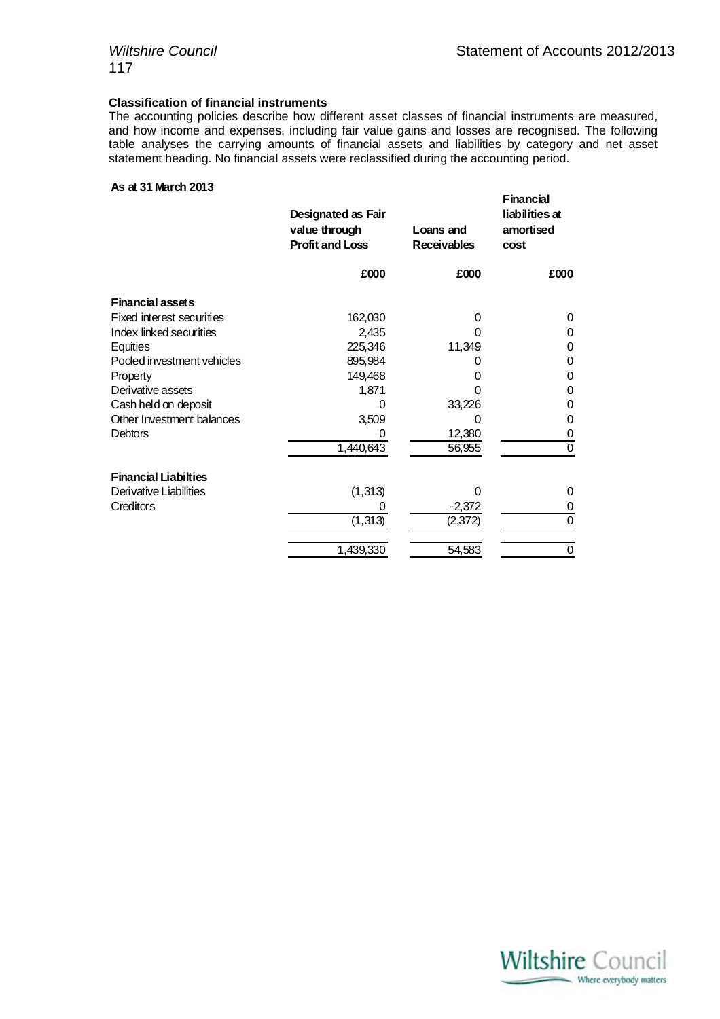**Financial** 

# **Classification of financial instruments**

The accounting policies describe how different asset classes of financial instruments are measured, and how income and expenses, including fair value gains and losses are recognised. The following table analyses the carrying amounts of financial assets and liabilities by category and net asset statement heading. No financial assets were reclassified during the accounting period.

#### **As at 31 March 2013**

| Designated as Fair<br>value through<br><b>Profit and Loss</b> | Loans and<br><b>Receivables</b> | r rancial<br>liabilities at<br>amortised<br>cost |
|---------------------------------------------------------------|---------------------------------|--------------------------------------------------|
| £000                                                          | £000                            | £000                                             |
|                                                               |                                 |                                                  |
| 162,030                                                       | 0                               | 0                                                |
| 2,435                                                         | 0                               | 0                                                |
| 225,346                                                       | 11,349                          | 0                                                |
| 895,984                                                       |                                 | 0                                                |
| 149,468                                                       | 0                               | 0                                                |
| 1,871                                                         | 0                               | 0                                                |
| 0                                                             | 33,226                          | 0                                                |
| 3,509                                                         | 0                               | 0                                                |
|                                                               | 12,380                          | 0                                                |
| 1,440,643                                                     | 56,955                          | 0                                                |
|                                                               |                                 |                                                  |
| (1, 313)                                                      | 0                               | 0                                                |
| O                                                             | $-2,372$                        | 0                                                |
| (1, 313)                                                      | (2,372)                         | 0                                                |
| 1,439,330                                                     | 54,583                          | 0                                                |
|                                                               |                                 |                                                  |

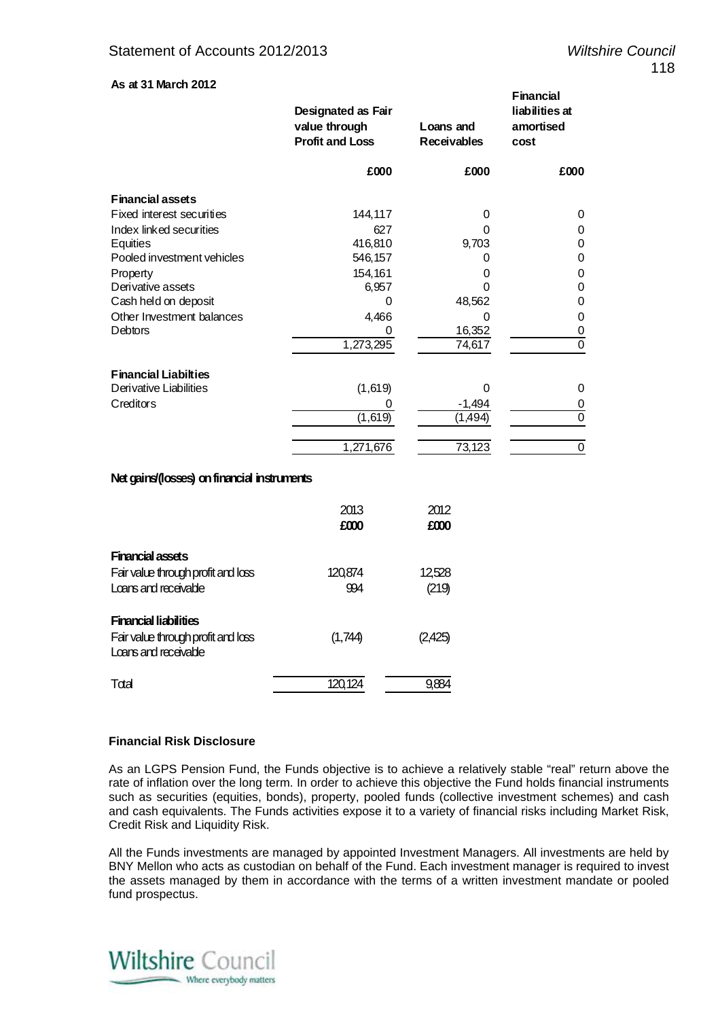**Financial** 

# **As at 31 March 2012**

|                             | Designated as Fair<br>value through<br><b>Profit and Loss</b> | Loans and<br><b>Receivables</b> | Γ∥la∏⊌lal<br>liabilities at<br>amortised<br>cost |
|-----------------------------|---------------------------------------------------------------|---------------------------------|--------------------------------------------------|
|                             | £000                                                          | £000                            | £000                                             |
| <b>Financial assets</b>     |                                                               |                                 |                                                  |
| Fixed interest securities   | 144,117                                                       | 0                               | 0                                                |
| Index linked securities     | 627                                                           | 0                               | 0                                                |
| Equities                    | 416,810                                                       | 9,703                           | 0                                                |
| Pooled investment vehicles  | 546,157                                                       |                                 | 0                                                |
| Property                    | 154,161                                                       | 0                               | 0                                                |
| Derivative assets           | 6,957                                                         |                                 | 0                                                |
| Cash held on deposit        | 0                                                             | 48,562                          | 0                                                |
| Other Investment balances   | 4,466                                                         | O                               | 0                                                |
| <b>Debtors</b>              | 0                                                             | 16,352                          | 0                                                |
|                             | 1,273,295                                                     | 74,617                          | $\mathbf 0$                                      |
| <b>Financial Liabilties</b> |                                                               |                                 |                                                  |
| Derivative Liabilities      | (1,619)                                                       | O                               | 0                                                |
| Creditors                   | 0                                                             | $-1,494$                        | 0                                                |
|                             | (1,619)                                                       | (1,494)                         | 0                                                |
|                             | 1,271,676                                                     | 73,123                          | 0                                                |

# **Net gains/(losses) on financial instruments**

|                                                               | 2013<br>£000 | 2012<br>£000 |
|---------------------------------------------------------------|--------------|--------------|
| <b>Financial assets</b><br>Fair value through profit and loss | 120,874      | 12,528       |
| Loans and receivable                                          | 994          | (219)        |
| <b>Financial liabilities</b>                                  |              |              |
| Fair value through profit and loss<br>Loans and receivable    | (1,744)      | 12,425       |
| Total                                                         | 12u<br>124   |              |

# **Financial Risk Disclosure**

As an LGPS Pension Fund, the Funds objective is to achieve a relatively stable "real" return above the rate of inflation over the long term. In order to achieve this objective the Fund holds financial instruments such as securities (equities, bonds), property, pooled funds (collective investment schemes) and cash and cash equivalents. The Funds activities expose it to a variety of financial risks including Market Risk, Credit Risk and Liquidity Risk.

All the Funds investments are managed by appointed Investment Managers. All investments are held by BNY Mellon who acts as custodian on behalf of the Fund. Each investment manager is required to invest the assets managed by them in accordance with the terms of a written investment mandate or pooled fund prospectus.

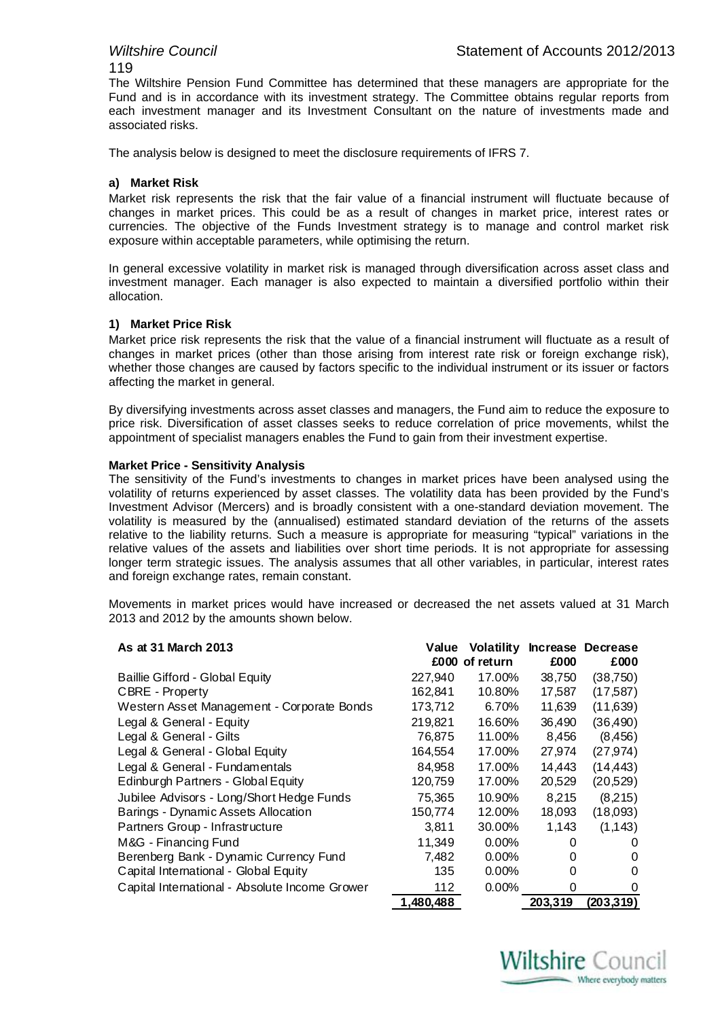# 119

The Wiltshire Pension Fund Committee has determined that these managers are appropriate for the Fund and is in accordance with its investment strategy. The Committee obtains regular reports from each investment manager and its Investment Consultant on the nature of investments made and associated risks.

The analysis below is designed to meet the disclosure requirements of IFRS 7.

# **a) Market Risk**

Market risk represents the risk that the fair value of a financial instrument will fluctuate because of changes in market prices. This could be as a result of changes in market price, interest rates or currencies. The objective of the Funds Investment strategy is to manage and control market risk exposure within acceptable parameters, while optimising the return.

In general excessive volatility in market risk is managed through diversification across asset class and investment manager. Each manager is also expected to maintain a diversified portfolio within their allocation.

# **1) Market Price Risk**

Market price risk represents the risk that the value of a financial instrument will fluctuate as a result of changes in market prices (other than those arising from interest rate risk or foreign exchange risk), whether those changes are caused by factors specific to the individual instrument or its issuer or factors affecting the market in general.

By diversifying investments across asset classes and managers, the Fund aim to reduce the exposure to price risk. Diversification of asset classes seeks to reduce correlation of price movements, whilst the appointment of specialist managers enables the Fund to gain from their investment expertise.

# **Market Price - Sensitivity Analysis**

The sensitivity of the Fund's investments to changes in market prices have been analysed using the volatility of returns experienced by asset classes. The volatility data has been provided by the Fund's Investment Advisor (Mercers) and is broadly consistent with a one-standard deviation movement. The volatility is measured by the (annualised) estimated standard deviation of the returns of the assets relative to the liability returns. Such a measure is appropriate for measuring "typical" variations in the relative values of the assets and liabilities over short time periods. It is not appropriate for assessing longer term strategic issues. The analysis assumes that all other variables, in particular, interest rates and foreign exchange rates, remain constant.

Movements in market prices would have increased or decreased the net assets valued at 31 March 2013 and 2012 by the amounts shown below.

| As at 31 March 2013                            | Value     | Volatility<br>£000 of return | £000     | Increase Decrease<br>£000 |
|------------------------------------------------|-----------|------------------------------|----------|---------------------------|
| Baillie Gifford - Global Equity                | 227,940   | 17.00%                       | 38,750   | (38, 750)                 |
| CBRE - Property                                | 162.841   | 10.80%                       | 17,587   | (17, 587)                 |
| Western Asset Management - Corporate Bonds     | 173,712   | 6.70%                        | 11,639   | (11,639)                  |
| Legal & General - Equity                       | 219,821   | 16.60%                       | 36,490   | (36, 490)                 |
| Legal & General - Gilts                        | 76,875    | 11.00%                       | 8,456    | (8,456)                   |
| Legal & General - Global Equity                | 164,554   | 17.00%                       | 27,974   | (27, 974)                 |
| Legal & General - Fundamentals                 | 84,958    | 17.00%                       | 14,443   | (14, 443)                 |
| Edinburgh Partners - Global Equity             | 120,759   | 17.00%                       | 20,529   | (20,529)                  |
| Jubilee Advisors - Long/Short Hedge Funds      | 75,365    | 10.90%                       | 8,215    | (8,215)                   |
| Barings - Dynamic Assets Allocation            | 150,774   | 12.00%                       | 18,093   | (18,093)                  |
| Partners Group - Infrastructure                | 3,811     | 30.00%                       | 1,143    | (1, 143)                  |
| M&G - Financing Fund                           | 11,349    | $0.00\%$                     | 0        | $\Omega$                  |
| Berenberg Bank - Dynamic Currency Fund         | 7,482     | $0.00\%$                     | 0        | O                         |
| Capital International - Global Equity          | 135       | $0.00\%$                     | 0        | 0                         |
| Capital International - Absolute Income Grower | 112       | $0.00\%$                     | $\Omega$ | 0                         |
|                                                | 1,480,488 |                              | 203.319  | (203, 319)                |

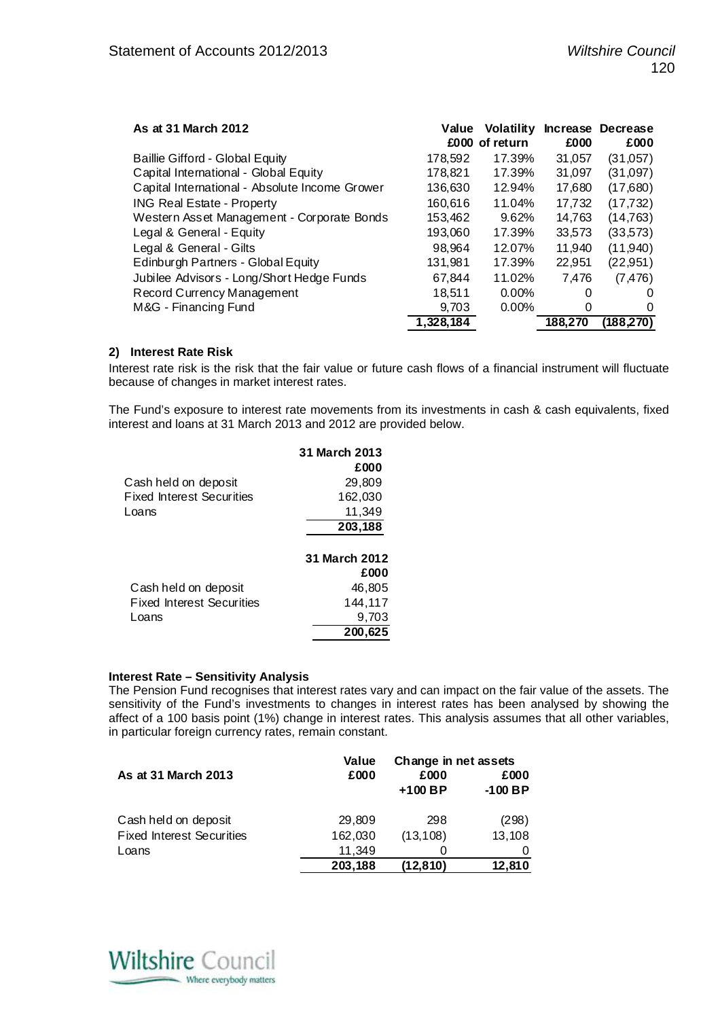| As at 31 March 2012                            | Value     | <b>Volatility</b><br>£000 of return | £000    | Increase Decrease<br>£000 |
|------------------------------------------------|-----------|-------------------------------------|---------|---------------------------|
| Baillie Gifford - Global Equity                | 178,592   | 17.39%                              | 31,057  | (31,057)                  |
| Capital International - Global Equity          | 178,821   | 17.39%                              | 31,097  | (31,097)                  |
| Capital International - Absolute Income Grower | 136,630   | 12.94%                              | 17,680  | (17,680)                  |
| <b>ING Real Estate - Property</b>              | 160.616   | 11.04%                              | 17,732  | (17, 732)                 |
| Western Asset Management - Corporate Bonds     | 153,462   | 9.62%                               | 14,763  | (14, 763)                 |
| Legal & General - Equity                       | 193,060   | 17.39%                              | 33,573  | (33,573)                  |
| Legal & General - Gilts                        | 98,964    | 12.07%                              | 11,940  | (11,940)                  |
| Edinburgh Partners - Global Equity             | 131,981   | 17.39%                              | 22,951  | (22, 951)                 |
| Jubilee Advisors - Long/Short Hedge Funds      | 67,844    | 11.02%                              | 7.476   | (7, 476)                  |
| Record Currency Management                     | 18.511    | $0.00\%$                            | 0       | $\Omega$                  |
| M&G - Financing Fund                           | 9,703     | $0.00\%$                            |         | $\Omega$                  |
|                                                | 1,328,184 |                                     | 188.270 | (188.270)                 |

# **2) Interest Rate Risk**

Interest rate risk is the risk that the fair value or future cash flows of a financial instrument will fluctuate because of changes in market interest rates.

The Fund's exposure to interest rate movements from its investments in cash & cash equivalents, fixed interest and loans at 31 March 2013 and 2012 are provided below.

|                                  | 31 March 2013 |
|----------------------------------|---------------|
|                                  | £000          |
| Cash held on deposit             | 29,809        |
| <b>Fixed Interest Securities</b> | 162,030       |
| Loans                            | 11,349        |
|                                  | 203,188       |
|                                  |               |
|                                  | 31 March 2012 |
|                                  | £000          |
| Cash held on deposit             | 46,805        |
| <b>Fixed Interest Securities</b> | 144,117       |
| Loans                            | 9.703         |
|                                  | 200,625       |

#### **Interest Rate – Sensitivity Analysis**

The Pension Fund recognises that interest rates vary and can impact on the fair value of the assets. The sensitivity of the Fund's investments to changes in interest rates has been analysed by showing the affect of a 100 basis point (1%) change in interest rates. This analysis assumes that all other variables, in particular foreign currency rates, remain constant.

|                                  | Value   | Change in net assets |           |  |
|----------------------------------|---------|----------------------|-----------|--|
| As at 31 March 2013              | £000    | £000                 | £000      |  |
|                                  |         | $+100$ BP            | $-100$ BP |  |
| Cash held on deposit             | 29,809  | 298                  | (298)     |  |
| <b>Fixed Interest Securities</b> | 162,030 | (13, 108)            | 13,108    |  |
| Loans                            | 11.349  |                      |           |  |
|                                  | 203,188 | (12, 810)            | 12,810    |  |

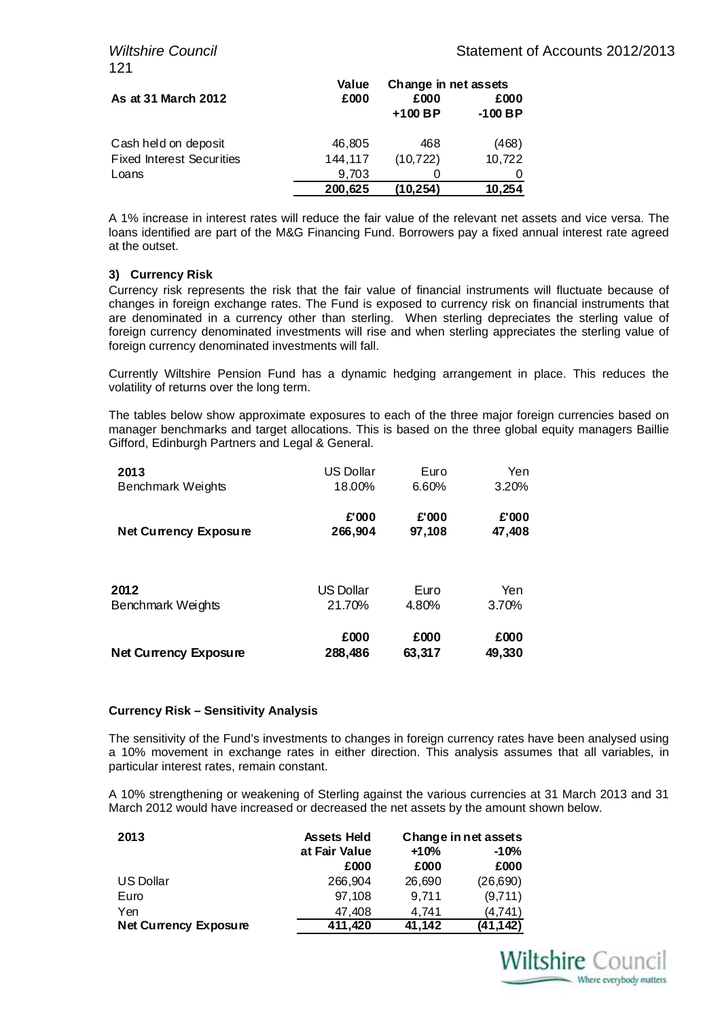|                                  | Value   | Change in net assets |           |  |
|----------------------------------|---------|----------------------|-----------|--|
| As at 31 March 2012              | £000    | £000                 | £000      |  |
|                                  |         | $+100$ BP            | $-100$ BP |  |
| Cash held on deposit             | 46,805  | 468                  | (468)     |  |
| <b>Fixed Interest Securities</b> | 144,117 | (10, 722)            | 10,722    |  |
| Loans                            | 9,703   |                      |           |  |
|                                  | 200,625 | (10.254)             | 10,254    |  |

A 1% increase in interest rates will reduce the fair value of the relevant net assets and vice versa. The loans identified are part of the M&G Financing Fund. Borrowers pay a fixed annual interest rate agreed at the outset.

# **3) Currency Risk**

Currency risk represents the risk that the fair value of financial instruments will fluctuate because of changes in foreign exchange rates. The Fund is exposed to currency risk on financial instruments that are denominated in a currency other than sterling. When sterling depreciates the sterling value of foreign currency denominated investments will rise and when sterling appreciates the sterling value of foreign currency denominated investments will fall.

Currently Wiltshire Pension Fund has a dynamic hedging arrangement in place. This reduces the volatility of returns over the long term.

The tables below show approximate exposures to each of the three major foreign currencies based on manager benchmarks and target allocations. This is based on the three global equity managers Baillie Gifford, Edinburgh Partners and Legal & General.

| 2013                         | <b>US Dollar</b> | Euro   | Yen    |
|------------------------------|------------------|--------|--------|
| Benchmark Weights            | 18.00%           | 6.60%  | 3.20%  |
| <b>Net Currency Exposure</b> | £'000            | £'000  | £'000  |
|                              | 266,904          | 97,108 | 47,408 |
| 2012                         | <b>US Dollar</b> | Euro   | Yen    |
| Benchmark Weights            | 21.70%           | 4.80%  | 3.70%  |
| <b>Net Currency Exposure</b> | £000             | £000   | £000   |
|                              | 288,486          | 63,317 | 49,330 |

# **Currency Risk – Sensitivity Analysis**

The sensitivity of the Fund's investments to changes in foreign currency rates have been analysed using a 10% movement in exchange rates in either direction. This analysis assumes that all variables, in particular interest rates, remain constant.

A 10% strengthening or weakening of Sterling against the various currencies at 31 March 2013 and 31 March 2012 would have increased or decreased the net assets by the amount shown below.

| 2013                         | <b>Assets Held</b> | Change in net assets<br>$+10%$<br>$-10%$ |           |
|------------------------------|--------------------|------------------------------------------|-----------|
|                              | at Fair Value      |                                          |           |
|                              | £000               | £000                                     | £000      |
| US Dollar                    | 266.904            | 26,690                                   | (26,690)  |
| Euro                         | 97.108             | 9.711                                    | (9,711)   |
| Yen                          | 47.408             | 4.741                                    | (4,741)   |
| <b>Net Currency Exposure</b> | 411,420            | 41,142                                   | (41, 142) |

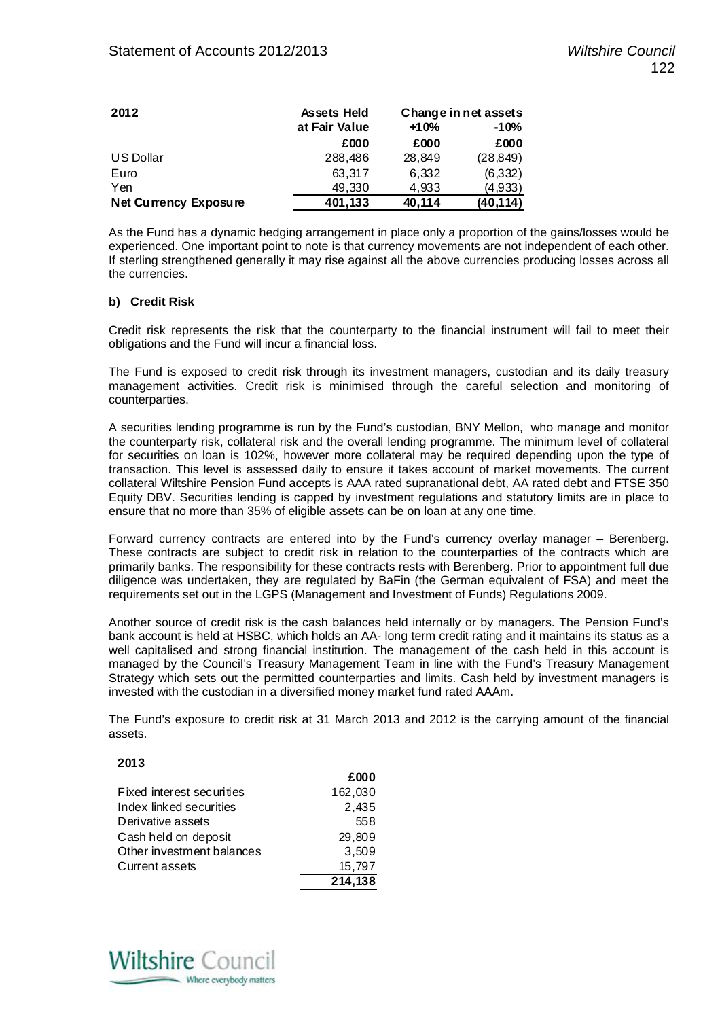| 2012                         | <b>Assets Held</b> | Change in net assets |           |
|------------------------------|--------------------|----------------------|-----------|
|                              | at Fair Value      | $-10%$<br>$+10%$     |           |
|                              | £000               | £000                 | £000      |
| US Dollar                    | 288,486            | 28,849               | (28, 849) |
| Euro                         | 63,317             | 6,332                | (6,332)   |
| Yen                          | 49,330             | 4,933                | (4,933)   |
| <b>Net Currency Exposure</b> | 401,133            | 40,114               | (40, 114) |

As the Fund has a dynamic hedging arrangement in place only a proportion of the gains/losses would be experienced. One important point to note is that currency movements are not independent of each other. If sterling strengthened generally it may rise against all the above currencies producing losses across all the currencies.

## **b) Credit Risk**

Credit risk represents the risk that the counterparty to the financial instrument will fail to meet their obligations and the Fund will incur a financial loss.

The Fund is exposed to credit risk through its investment managers, custodian and its daily treasury management activities. Credit risk is minimised through the careful selection and monitoring of counterparties.

A securities lending programme is run by the Fund's custodian, BNY Mellon, who manage and monitor the counterparty risk, collateral risk and the overall lending programme. The minimum level of collateral for securities on loan is 102%, however more collateral may be required depending upon the type of transaction. This level is assessed daily to ensure it takes account of market movements. The current collateral Wiltshire Pension Fund accepts is AAA rated supranational debt, AA rated debt and FTSE 350 Equity DBV. Securities lending is capped by investment regulations and statutory limits are in place to ensure that no more than 35% of eligible assets can be on loan at any one time.

Forward currency contracts are entered into by the Fund's currency overlay manager – Berenberg. These contracts are subject to credit risk in relation to the counterparties of the contracts which are primarily banks. The responsibility for these contracts rests with Berenberg. Prior to appointment full due diligence was undertaken, they are regulated by BaFin (the German equivalent of FSA) and meet the requirements set out in the LGPS (Management and Investment of Funds) Regulations 2009.

Another source of credit risk is the cash balances held internally or by managers. The Pension Fund's bank account is held at HSBC, which holds an AA- long term credit rating and it maintains its status as a well capitalised and strong financial institution. The management of the cash held in this account is managed by the Council's Treasury Management Team in line with the Fund's Treasury Management Strategy which sets out the permitted counterparties and limits. Cash held by investment managers is invested with the custodian in a diversified money market fund rated AAAm.

The Fund's exposure to credit risk at 31 March 2013 and 2012 is the carrying amount of the financial assets.

**£000**

# **2013**

|                           | _ww     |
|---------------------------|---------|
| Fixed interest securities | 162,030 |
| Index linked securities   | 2,435   |
| Derivative assets         | 558     |
| Cash held on deposit      | 29,809  |
| Other investment balances | 3,509   |
| Current assets            | 15.797  |
|                           | 214,138 |

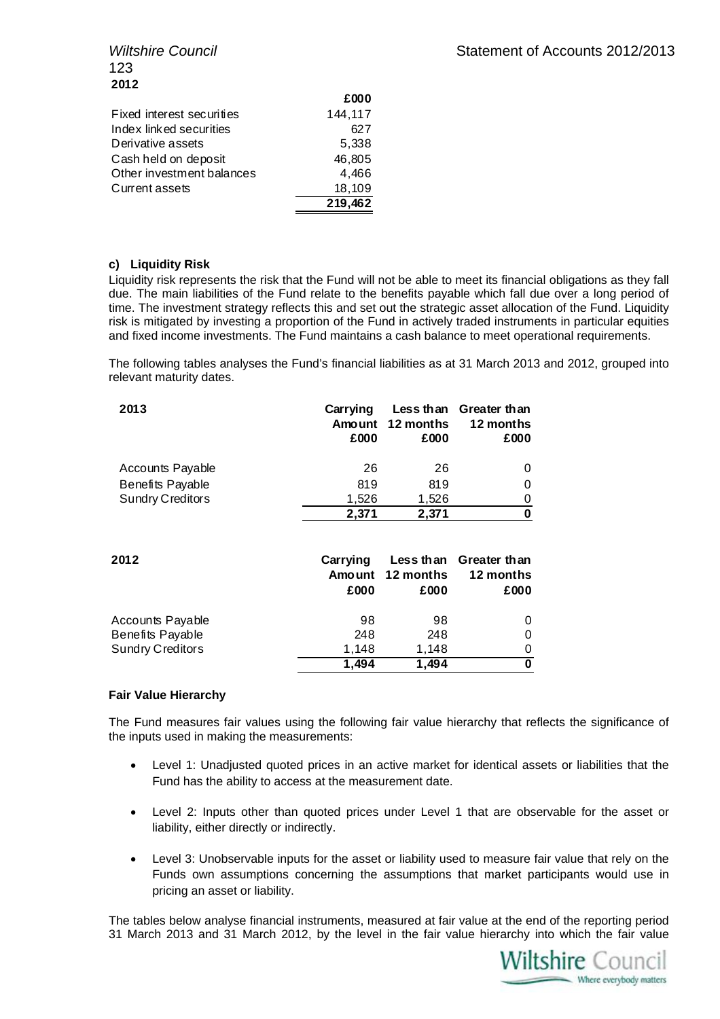| <b>Wiltshire Council</b> |  |
|--------------------------|--|
| 123                      |  |
| 2012                     |  |

|                           | zwv     |
|---------------------------|---------|
| Fixed interest securities | 144,117 |
| Index linked securities   | 627     |
| Derivative assets         | 5,338   |
| Cash held on deposit      | 46.805  |
| Other investment balances | 4.466   |
| Current assets            | 18.109  |
|                           | 219,462 |

# **c) Liquidity Risk**

Liquidity risk represents the risk that the Fund will not be able to meet its financial obligations as they fall due. The main liabilities of the Fund relate to the benefits payable which fall due over a long period of time. The investment strategy reflects this and set out the strategic asset allocation of the Fund. Liquidity risk is mitigated by investing a proportion of the Fund in actively traded instruments in particular equities and fixed income investments. The Fund maintains a cash balance to meet operational requirements.

**£000**

The following tables analyses the Fund's financial liabilities as at 31 March 2013 and 2012, grouped into relevant maturity dates.

| 2013                    | Carrying<br>Amount<br>£000 | Less than<br>12 months<br>£000 | Greater than<br>12 months<br>£000 |
|-------------------------|----------------------------|--------------------------------|-----------------------------------|
| <b>Accounts Payable</b> | 26                         | 26                             | 0                                 |
| Benefits Payable        | 819                        | 819                            | 0                                 |
| <b>Sundry Creditors</b> | 1,526                      | 1,526                          | 0                                 |
|                         | 2,371                      | 2,371                          | 0                                 |
| 2012                    | Carrying<br>Amount<br>£000 | Less than<br>12 months<br>£000 | Greater than<br>12 months<br>£000 |
| Accounts Payable        | 98                         | 98                             | 0                                 |
| Benefits Payable        | 248                        | 248                            | 0                                 |
| Sundry Creditors        | 1,148                      | 1,148                          | 0                                 |
|                         | 1,494                      | 1,494                          | 0                                 |

# **Fair Value Hierarchy**

The Fund measures fair values using the following fair value hierarchy that reflects the significance of the inputs used in making the measurements:

- Level 1: Unadjusted quoted prices in an active market for identical assets or liabilities that the Fund has the ability to access at the measurement date.
- Level 2: Inputs other than quoted prices under Level 1 that are observable for the asset or liability, either directly or indirectly.
- Level 3: Unobservable inputs for the asset or liability used to measure fair value that rely on the Funds own assumptions concerning the assumptions that market participants would use in pricing an asset or liability.

The tables below analyse financial instruments, measured at fair value at the end of the reporting period 31 March 2013 and 31 March 2012, by the level in the fair value hierarchy into which the fair value

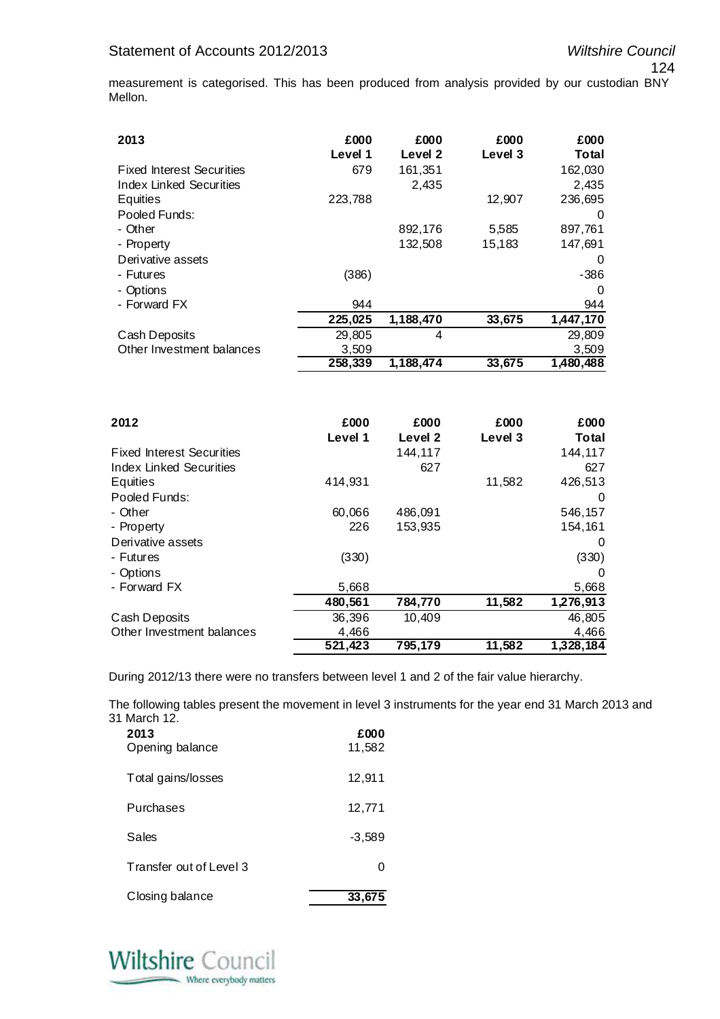124

measurement is categorised. This has been produced from analysis provided by our custodian BNY Mellon.

| 2013                             | £000<br>Level 1 | £000<br>Level 2 | £000<br>Level 3 | £000<br>Total |
|----------------------------------|-----------------|-----------------|-----------------|---------------|
| <b>Fixed Interest Securities</b> | 679             | 161,351         |                 | 162,030       |
| Index Linked Securities          |                 | 2,435           |                 | 2,435         |
| Equities                         | 223,788         |                 | 12,907          | 236.695       |
| Pooled Funds:                    |                 |                 |                 | 0             |
| - Other                          |                 | 892,176         | 5,585           | 897,761       |
| - Property                       |                 | 132,508         | 15,183          | 147,691       |
| Derivative assets                |                 |                 |                 | 0             |
| - Futures                        | (386)           |                 |                 | $-386$        |
| - Options                        |                 |                 |                 | 0             |
| - Forward FX                     | 944             |                 |                 | 944           |
|                                  | 225,025         | 1,188,470       | 33,675          | 1,447,170     |
| Cash Deposits                    | 29,805          | 4               |                 | 29,809        |
| Other Investment balances        | 3,509           |                 |                 | 3,509         |
|                                  | 258,339         | 1,188,474       | 33,675          | 1,480,488     |
|                                  |                 |                 |                 |               |

| 2012                             | £000    | £000    | £000    | £000      |
|----------------------------------|---------|---------|---------|-----------|
|                                  | Level 1 | Level 2 | Level 3 | Total     |
| <b>Fixed Interest Securities</b> |         | 144,117 |         | 144,117   |
| <b>Index Linked Securities</b>   |         | 627     |         | 627       |
| Equities                         | 414,931 |         | 11,582  | 426,513   |
| Pooled Funds:                    |         |         |         | 0         |
| - Other                          | 60,066  | 486,091 |         | 546,157   |
| - Property                       | 226     | 153,935 |         | 154,161   |
| Derivative assets                |         |         |         | 0         |
| - Futures                        | (330)   |         |         | (330)     |
| - Options                        |         |         |         | 0         |
| - Forward FX                     | 5,668   |         |         | 5,668     |
|                                  | 480,561 | 784,770 | 11,582  | 1,276,913 |
| Cash Deposits                    | 36,396  | 10,409  |         | 46,805    |
| Other Investment balances        | 4,466   |         |         | 4,466     |
|                                  | 521,423 | 795,179 | 11,582  | 1,328,184 |

During 2012/13 there were no transfers between level 1 and 2 of the fair value hierarchy.

The following tables present the movement in level 3 instruments for the year end 31 March 2013 and 31 March 12.

| 2013<br>Opening balance | £000<br>11,582 |
|-------------------------|----------------|
| Total gains/losses      | 12,911         |
| Purchases               | 12,771         |
| Sales                   | $-3,589$       |
| Transfer out of Level 3 | O              |
| Closing balance         | 33,67          |

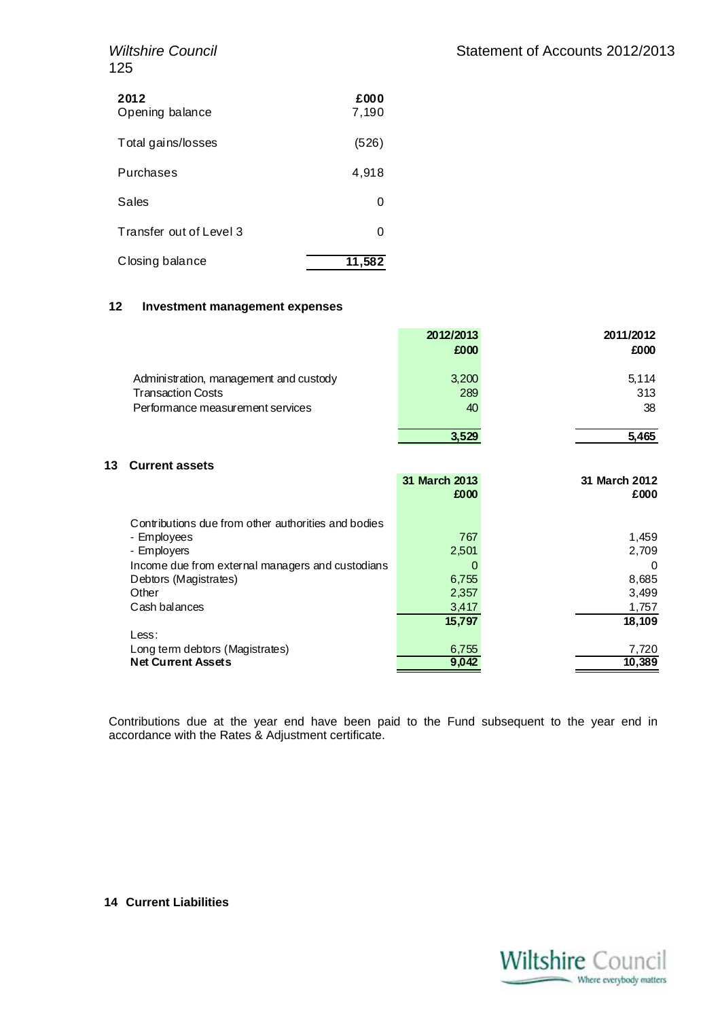| <b>Wiltshire Council</b> |  |
|--------------------------|--|
| 125                      |  |

| 2012<br>Opening balance | £000<br>7,190 |
|-------------------------|---------------|
| Total gains/losses      | (526)         |
| Purchases               | 4,918         |
| Sales                   | U             |
| Transfer out of Level 3 | U             |
| Closing balance         | 11,582        |

# **12 Investment management expenses**

|                                        | 2012/2013 | 2011/2012 |
|----------------------------------------|-----------|-----------|
|                                        | £000      | £000      |
| Administration, management and custody | 3,200     | 5.114     |
| <b>Transaction Costs</b>               | 289       | 313       |
| Performance measurement services       | 40        | 38        |
|                                        | 3.529     | 5.465     |

# **13 Current assets**

| 31 March 2013 | 31 March 2012 |
|---------------|---------------|
|               | £000          |
|               |               |
| 767           | 1,459         |
| 2,501         | 2,709         |
| 0             | $\Omega$      |
| 6,755         | 8,685         |
| 2,357         | 3,499         |
| 3,417         | 1,757         |
| 15,797        | 18,109        |
|               |               |
| 6,755         | 7,720         |
| 9,042         | 10,389        |
|               | £000          |

Contributions due at the year end have been paid to the Fund subsequent to the year end in accordance with the Rates & Adjustment certificate.

**14 Current Liabilities** 

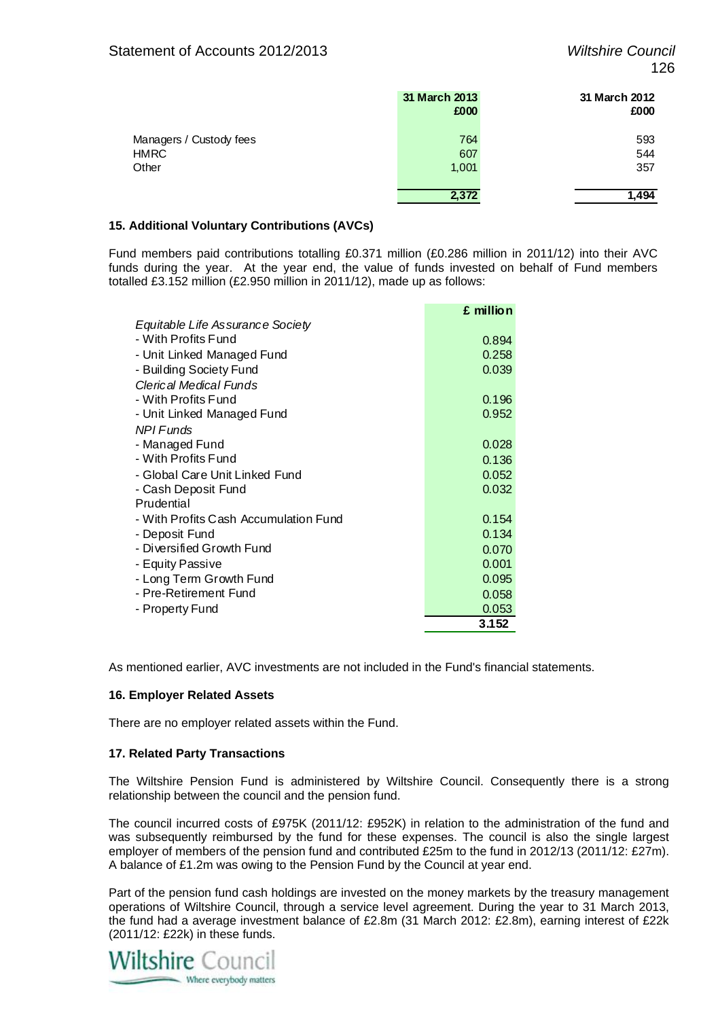|                                                 | 31 March 2013<br>£000 | 31 March 2012<br>£000 |
|-------------------------------------------------|-----------------------|-----------------------|
| Managers / Custody fees<br><b>HMRC</b><br>Other | 764<br>607<br>1,001   | 593<br>544<br>357     |
|                                                 | 2,372                 | 1.494                 |

# **15. Additional Voluntary Contributions (AVCs)**

Fund members paid contributions totalling £0.371 million (£0.286 million in 2011/12) into their AVC funds during the year. At the year end, the value of funds invested on behalf of Fund members totalled £3.152 million (£2.950 million in 2011/12), made up as follows:

|                                       | £ million |
|---------------------------------------|-----------|
| Equitable Life Assurance Society      |           |
| - With Profits Fund                   | 0.894     |
| - Unit Linked Managed Fund            | 0.258     |
| - Building Society Fund               | 0.039     |
| Clerical Medical Funds                |           |
| - With Profits Fund                   | 0.196     |
| - Unit Linked Managed Fund            | 0.952     |
| <b>NPI Funds</b>                      |           |
| - Managed Fund                        | 0.028     |
| - With Profits Fund                   | 0.136     |
| - Global Care Unit Linked Fund        | 0.052     |
| - Cash Deposit Fund                   | 0.032     |
| Prudential                            |           |
| - With Profits Cash Accumulation Fund | 0.154     |
| - Deposit Fund                        | 0.134     |
| - Diversified Growth Fund             | 0.070     |
| - Equity Passive                      | 0.001     |
| - Long Term Growth Fund               | 0.095     |
| - Pre-Retirement Fund                 | 0.058     |
| - Property Fund                       | 0.053     |
|                                       | 3.152     |

As mentioned earlier, AVC investments are not included in the Fund's financial statements.

## **16. Employer Related Assets**

There are no employer related assets within the Fund.

## **17. Related Party Transactions**

The Wiltshire Pension Fund is administered by Wiltshire Council. Consequently there is a strong relationship between the council and the pension fund.

The council incurred costs of £975K (2011/12: £952K) in relation to the administration of the fund and was subsequently reimbursed by the fund for these expenses. The council is also the single largest employer of members of the pension fund and contributed £25m to the fund in 2012/13 (2011/12: £27m). A balance of £1.2m was owing to the Pension Fund by the Council at year end.

Part of the pension fund cash holdings are invested on the money markets by the treasury management operations of Wiltshire Council, through a service level agreement. During the year to 31 March 2013, the fund had a average investment balance of £2.8m (31 March 2012: £2.8m), earning interest of £22k (2011/12: £22k) in these funds.

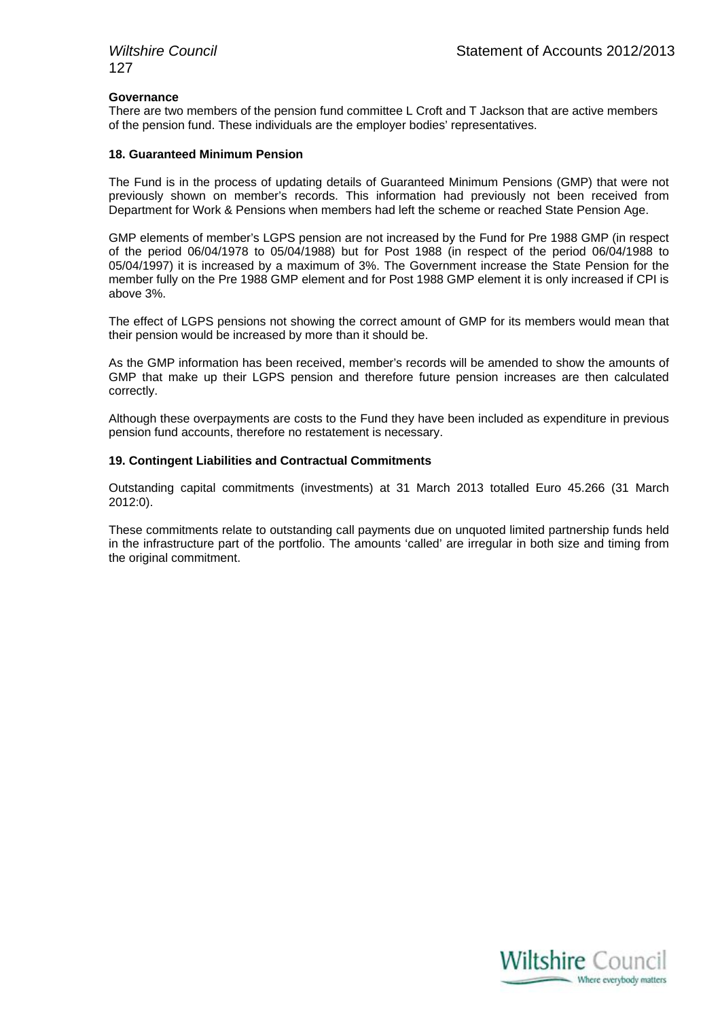#### **Governance**

There are two members of the pension fund committee L Croft and T Jackson that are active members of the pension fund. These individuals are the employer bodies' representatives.

# **18. Guaranteed Minimum Pension**

The Fund is in the process of updating details of Guaranteed Minimum Pensions (GMP) that were not previously shown on member's records. This information had previously not been received from Department for Work & Pensions when members had left the scheme or reached State Pension Age.

GMP elements of member's LGPS pension are not increased by the Fund for Pre 1988 GMP (in respect of the period 06/04/1978 to 05/04/1988) but for Post 1988 (in respect of the period 06/04/1988 to 05/04/1997) it is increased by a maximum of 3%. The Government increase the State Pension for the member fully on the Pre 1988 GMP element and for Post 1988 GMP element it is only increased if CPI is above 3%.

The effect of LGPS pensions not showing the correct amount of GMP for its members would mean that their pension would be increased by more than it should be.

As the GMP information has been received, member's records will be amended to show the amounts of GMP that make up their LGPS pension and therefore future pension increases are then calculated correctly.

Although these overpayments are costs to the Fund they have been included as expenditure in previous pension fund accounts, therefore no restatement is necessary.

#### **19. Contingent Liabilities and Contractual Commitments**

Outstanding capital commitments (investments) at 31 March 2013 totalled Euro 45.266 (31 March 2012:0).

These commitments relate to outstanding call payments due on unquoted limited partnership funds held in the infrastructure part of the portfolio. The amounts 'called' are irregular in both size and timing from the original commitment.

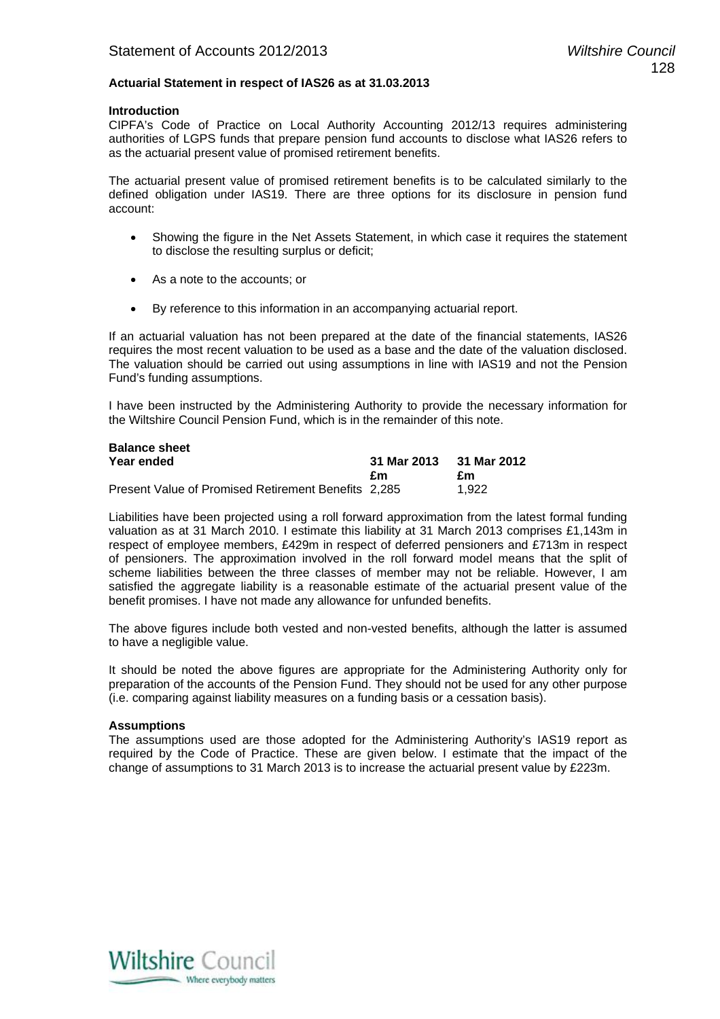# **Actuarial Statement in respect of IAS26 as at 31.03.2013**

#### **Introduction**

CIPFA's Code of Practice on Local Authority Accounting 2012/13 requires administering authorities of LGPS funds that prepare pension fund accounts to disclose what IAS26 refers to as the actuarial present value of promised retirement benefits.

The actuarial present value of promised retirement benefits is to be calculated similarly to the defined obligation under IAS19. There are three options for its disclosure in pension fund account:

- Showing the figure in the Net Assets Statement, in which case it requires the statement to disclose the resulting surplus or deficit;
- As a note to the accounts; or
- By reference to this information in an accompanying actuarial report.

If an actuarial valuation has not been prepared at the date of the financial statements, IAS26 requires the most recent valuation to be used as a base and the date of the valuation disclosed. The valuation should be carried out using assumptions in line with IAS19 and not the Pension Fund's funding assumptions.

I have been instructed by the Administering Authority to provide the necessary information for the Wiltshire Council Pension Fund, which is in the remainder of this note.

| <b>Balance sheet</b>                                |             |             |
|-----------------------------------------------------|-------------|-------------|
| Year ended                                          | 31 Mar 2013 | 31 Mar 2012 |
|                                                     | £m          | £m          |
| Present Value of Promised Retirement Benefits 2,285 |             | 1.922       |

Liabilities have been projected using a roll forward approximation from the latest formal funding valuation as at 31 March 2010. I estimate this liability at 31 March 2013 comprises £1,143m in respect of employee members, £429m in respect of deferred pensioners and £713m in respect of pensioners. The approximation involved in the roll forward model means that the split of scheme liabilities between the three classes of member may not be reliable. However, I am satisfied the aggregate liability is a reasonable estimate of the actuarial present value of the benefit promises. I have not made any allowance for unfunded benefits.

The above figures include both vested and non-vested benefits, although the latter is assumed to have a negligible value.

It should be noted the above figures are appropriate for the Administering Authority only for preparation of the accounts of the Pension Fund. They should not be used for any other purpose (i.e. comparing against liability measures on a funding basis or a cessation basis).

# **Assumptions**

The assumptions used are those adopted for the Administering Authority's IAS19 report as required by the Code of Practice. These are given below. I estimate that the impact of the change of assumptions to 31 March 2013 is to increase the actuarial present value by £223m.

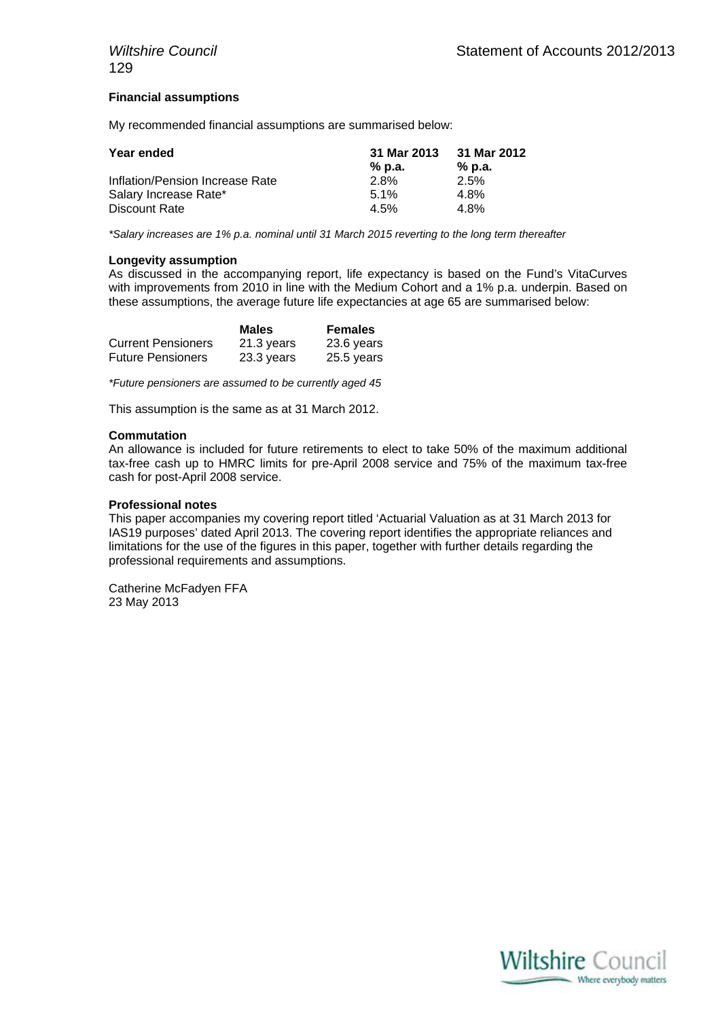# **Financial assumptions**

My recommended financial assumptions are summarised below:

| Year ended                      | 31 Mar 2013 | 31 Mar 2012 |
|---------------------------------|-------------|-------------|
|                                 | % p.a.      | % p.a.      |
| Inflation/Pension Increase Rate | 2.8%        | 2.5%        |
| Salary Increase Rate*           | $5.1\%$     | 4.8%        |
| Discount Rate                   | 4.5%        | 4.8%        |

*\*Salary increases are 1% p.a. nominal until 31 March 2015 reverting to the long term thereafter* 

#### **Longevity assumption**

As discussed in the accompanying report, life expectancy is based on the Fund's VitaCurves with improvements from 2010 in line with the Medium Cohort and a 1% p.a. underpin. Based on these assumptions, the average future life expectancies at age 65 are summarised below:

|                           | <b>Males</b> | <b>Females</b> |
|---------------------------|--------------|----------------|
| <b>Current Pensioners</b> | 21.3 years   | 23.6 years     |
| <b>Future Pensioners</b>  | 23.3 years   | 25.5 years     |

*\*Future pensioners are assumed to be currently aged 45* 

This assumption is the same as at 31 March 2012.

#### **Commutation**

An allowance is included for future retirements to elect to take 50% of the maximum additional tax-free cash up to HMRC limits for pre-April 2008 service and 75% of the maximum tax-free cash for post-April 2008 service.

#### **Professional notes**

This paper accompanies my covering report titled 'Actuarial Valuation as at 31 March 2013 for IAS19 purposes' dated April 2013. The covering report identifies the appropriate reliances and limitations for the use of the figures in this paper, together with further details regarding the professional requirements and assumptions.

Catherine McFadyen FFA 23 May 2013

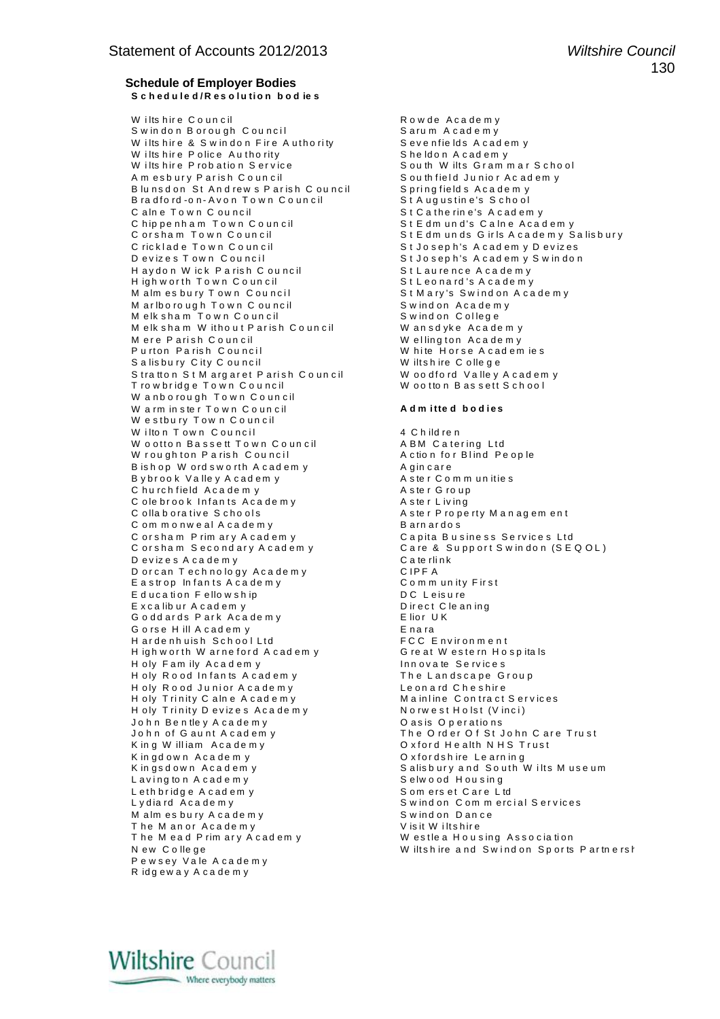#### **Schedule of Employer Bodies**  S c h e d u l e d / R e s o l u ti o n b o d ie s

W ilts hire Council and the Council contract and Rowde A cademy S w in don B or ou gh C ouncil intervals are more services as a S arum A cade m y W ilts hire & S win don Fire A uthority Seven fields A cademy wilts hire Police Authority Sheldon A cademy W ilts hire Police Authority<br>W ilts hire Probation Service W i lts h ir e P ro b a t io n S e r v ic e S o u th W ilt s G r a m m a r S c h o o l A m esbury Parish Council Sou th field Junior Ac ademy B lunsdon St Andrews Parish C ouncil S pring fields Academ y B ra d f o rd -o n - A v o n T o w n C o un c il St A u g ustin e 's S cho o l C a ln e Town C ouncil the second second second second second second second second second second second second C hip pe nh am To w n C o un cil S t E d m un d's C a ln e A c a d e m y C ricklade Town Council St Joseph's Academy Devizes D e v iz e s T o w n C o u n c i l S t J o s e p h 's A c a d e m y S w in d o n H aydon W ick P a rish C ouncil St L aurence A cade my H igh w or th Town Council example and is A cade my M alm es bury Town Council examples and in St Mary's Swind on A cade my M ar Ibo rough Town Council enterstand Swind on Academy<br>Melksham Town Council enterstand Swind on College  $M$  elk sham  $\check{T}$ own Council M e lk s h a m W it h o u t P ar is h C o un c il M elk sham W ithout Parish Council Wansdyke Academy<br>
M ere Parish Council Wellington Academy<br>
Purton Parish Council White Horse Academy Salisbury City Council Wiltshire College S tratton St M arg aret P arish Council Woodford Valley A cademy T ro w b ridge Town Council **W** ootton Bassett School W anb o rough Town Council W a rm in ster Town Council **Admitted bodies** W estbury Town Council W i lto n T o w n C o u n c i l 4 C h ild re n W o otton Bassett Town Council ABM Catering Ltd<br>W roughton Parish Council Action for Blind People W roughton Parish Council A ction for Blind People B is h op W ord s w o rth A c ad em y a sequence of A gin care B y b rook V a lle y A c a d e m y a second which was termed as term on the second which is the r C o m m unities character of the second which is a second which was a second which was a second which was a second which was C hurch field A cademy C ole brook Infants Academy The Sole of A ster Living<br>
C ollaborative Schools A ster Prope C om m o n w e al A c a de m y C or sham P rim ary A cadem y and the C apita B usiness Services Ltd<br>
C or sham Secondary A cadem y and C are & Support S windon (S E D e viz e s A c a d e m y e s a te rlink<br>D o r c an T e ch no lo q v A c a d e m v y e s C IP F A D or can Technology Academy CIPF A<br>
Eastrop Infants Academy Community First E a strop In fants A cademy E d u c a ti on F e llow s h ip d u c a ti on F e llow s h ip d u c a ti o n c h is u c h is u c h is u c h i<br>
E x c a lib u r A c a d e m y d i b i rect C le a n ing E x c a lib ur A c ad em y G o dd ards Park Academy Elior UK G o rse H ill A cademy<br>
H ardenhuish School Ltd
H ardenhuish School Ltd
FCC
Environment H arde nh uish School Ltd High w or th W arneford A cademy Great W estern Hospitals H oly Fam ily A cadem y **I numerally a service** s H oly Rood Infants A cadem y The Landscape Group<br>
H oly Rood Junior A cademy Leonard Cheshire H oly R o od Junior A cade m y H oly Trinity C alne A cademy<br>
H oly Trinity D evizes A cademy<br>
N orwest H olst (V inci) H oly Trinity D evizes Academy<br>John Bentley A cademy N oasis O perations John Bentley Academy<br>John of Gaunt Academy K in g W illiam A c a de m y K in gd own Academy and the C x fordshire Learning K in gs d own Academy in the same server and South Wilts Museum Lavings d own Academy in the South Wilts Museum<br>Laving ton Academy in Selwood Housing  $L$  aving to n  $A$  cade my Leth bridge A cademy Somerset Care Ltd<br>
Lydiard A cademy Swindon Commerc M alm es bu ry A c a de m y service and some service of the M announced S w ind on D an c e service of the M announced S w indicate media of the M and S w indicate media of the M announced S w indicate media of the M annou The M an or  $A$ cademy<br>The M ead P rim ary A cademy N ew C olle ge entitled the M interval of M interval and S wind on Sports Partners has held and S window P e w s ey Va le A c a de m y R idg ew a y A c a de m y

C or sham Town Council entertainment of the state of state of state of the state of the state of the state of t S t M a ry's Swind on A c a de m v W hite Horse A cad em ie s A ster P ro perty M an ag em en t<br>B arn ardo s Care & Supp ort S w in don (SEQ OL) The Order Of St John Care Trust<br>Oxford Health NHS Trust S w ind on C om m ercial S ervices

W estlea Housing Association